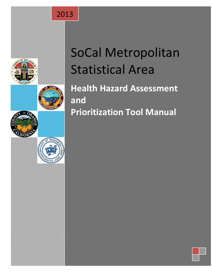





# SoCal Metropolitan Statistical Area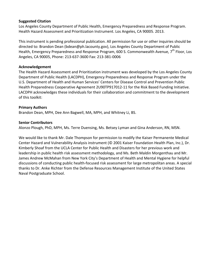## **Suggested Citation**

Los Angeles County Department of Public Health, Emergency Preparedness and Response Program. Health Hazard Assessment and Prioritization Instrument. Los Angeles, CA 90005. 2013.

This instrument is pending professional publication. All permission for use or other inquiries should be directed to: Brandon Dean [\(bdean@ph.lacounty.gov\)](mailto:bdean@ph.lacounty.gov), Los Angeles County Department of Public Health, Emergency Preparedness and Response Program, 600 S. Commonwealth Avenue, 7<sup>th</sup> Floor, Los Angeles, CA 90005, Phone: 213-637-3600 Fax: 213-381-0006

## **Acknowledgement**

The Health Hazard Assessment and Prioritization instrument was developed by the Los Angeles County Department of Public Health (LACDPH), Emergency Preparedness and Response Program under the U.S. Department of Health and Human Services' Centers for Disease Control and Prevention Public Health Preparedness Cooperative Agreement 2U90TP917012-11 for the Risk Based Funding Initiative. LACDPH acknowledges these individuals for their collaboration and commitment to the development of this toolkit:

## **Primary Authors**

Brandon Dean, MPH, Dee Ann Bagwell, MA, MPH, and Whitney Li, BS.

## **Senior Contributors**

Alonzo Plough, PhD, MPH, Ms. Terre Duensing, Ms. Betsey Lyman and Gina Anderson, RN, MSN.

We would like to thank Mr. Dale Thompson for permission to modify the Kaiser Permanente Medical Center Hazard and Vulnerability Analysis instrument (© 2001 Kaiser Foundation Health Plan, Inc.), Dr. Kimberly Shoaf from the UCLA Center for Public Health and Disasters for her previous work and leadership in public health risk assessment methodology, and Ms. Beth Maldin Morgenthau and Mr. James Andrew McMahan from New York City's Department of Health and Mental Hygiene for helpful discussions of conducting public health-focused risk assessment for large metropolitan areas. A special thanks to Dr. Anke Richter from the Defense Resources Management Institute of the United States Naval Postgraduate School.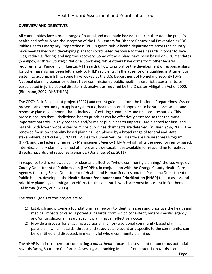#### **OVERVIEW AND OBJECTIVES**

All communities face a broad range of natural and manmade hazards that can threaten the public's health and safety. Since the inception of the U.S. Centers for Disease Control and Prevention's (CDC) Public Health Emergency Preparedness (PHEP) grant, public health departments across the country have been tasked with developing plans for coordinated response to these hazards in order to save lives, reduce suffering, and improve recovery. Some of these plans have been based on CDC mandates (Smallpox, Anthrax, Strategic National Stockpile), while others have come from other federal requirements (Pandemic Influenza, All Hazards). How to prioritize the development of response plans for other hazards has been left largely to PHEP recipients. In the absence of a qualified instrument or system to accomplish this, some have looked at the U.S. Department of Homeland Security (DHS) National planning scenarios; others have commissioned public health hazard risk assessments, or participated in jurisdictional disaster risk analysis as required by the Disaster Mitigation Act of 2000. (Birkmann, 2007; DHS THIRA)

The CDC's Risk-Based pilot project (2012) and recent guidance from the National Preparedness System, presents an opportunity to apply a systematic, health centered approach to hazard assessment and response plan development that is inclusive of existing community and response resources. This process ensures that jurisdictional health priorities can be effectively assessed so that the most important hazards—highly probable and/or major public health impacts—are planned for first, and hazards with lower probabilities or minor public health impacts are deferred. (Wisner, *et al,* 2003) The renewed focus on capability based planning—employed by a broad range of federal and state stakeholders, particularly CDC's PHEP, Health Human Services' Healthcare Preparedness Program (HPP), and the Federal Emergency Management Agency (FEMA)—highlights the need for reality based, inter-disciplinary planning, aimed at improving true capabilities available for responding to realistic threats, hazards and response scenarios. (Donahue, *et al,* 2011)

In response to this renewed call for clear and effective "whole community planning," the Los Angeles County Department of Public Health (LACDPH), in conjunction with the Orange County Health Care Agency, the Long Beach Department of Health and Human Services and the Pasadena Department of Public Health, developed the **Health Hazard Assessment and Prioritization (hHAP)** tool to assess and prioritize planning and mitigation efforts for those hazards which are most important in Southern California. (Perry, *et al*, 2003)

The overall goals of this project are to:

- 1) Establish and provide a foundational framework to identify, assess and prioritize the health and medical impacts of various potential hazards, from which consistent, hazard specific*,* agency and/or jurisdictional hazard specific planning can effectively occur.
- 2) Provide a process for engaging traditional and non-traditional community based planning partners in which hazards, threats and resources, relevant and specific to the community, can be identified and discussed, in meaningful whole community planning.

The hHAP is an instrument for conducting a *public health* focused assessment of numerous potential hazards facing Southern California. Assessing and ranking impacts from potential hazards is an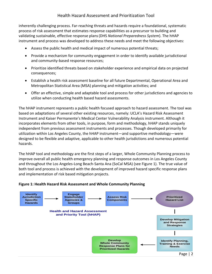inherently challenging process. Far-reaching threats and hazards require a foundational, systematic process of risk assessment that estimates response capabilities as a precursor to building and validating sustainable, effective response plans(DHS *National Preparedness System*). The hHAP instrument and process was developed to address these needs and meet the following objectives:

- Assess the public health and medical impact of numerous potential threats;
- Provide a mechanism for community engagement in order to identify available jurisdictional and community-based response resources;
- Prioritize identified threats based on stakeholder experience and empirical data on projected consequences;
- Establish a health risk assessment baseline for all future Departmental, Operational Area and Metropolitan Statistical Area (MSA) planning and mitigation activities; and
- Offer an effective, simple and adaptable tool and process for other jurisdictions and agencies to utilize when conducting health based hazard assessments.

The hHAP instrument represents a public health focused approach to hazard assessment. The tool was based on adaptations of several other existing resources, namely: UCLA's Hazard Risk Assessment Instrument and Kaiser Permanente's Medical Center Vulnerability Analysis instrument. Although it incorporates elements from other tools, in purpose, form and methodology, hHAP stands uniquely independent from previous assessment instruments and processes. Though developed primarily for utilization within Los Angeles County, the hHAP instrument—and supportive methodology—were designed to be flexible and adaptive, applicable to other health jurisdictions and numerous potential hazards.

The hHAP tool and methodology are the first steps of a larger, Whole Community Planning process to improve overall all public health emergency planning and response outcomes in Los Angeles County and throughout the Los Angeles-Long Beach-Santa Ana (SoCal MSA) (see Figure 1). The true value of both tool and process is achieved with the development of improved hazard specific response plans and implementation of risk based mitigation projects.



#### **Figure 1: Health Hazard Risk Assessment and Whole Community Planning**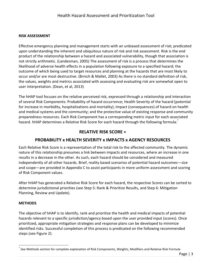## **RISK ASSESSMENT**

Effective emergency planning and management starts with an unbiased assessment of risk; predicated upon understanding the inherent and ubiquitous nature of risk and risk assessment. Risk is the end product of the relationship between a hazard and associated vulnerability, though that association is not strictly arithmetic. (Landesman, 2005) The assessment of risk is a process that determines the likelihood of adverse health effects in a population following exposure to a specified hazard; the outcome of which being used to target resources and planning at the hazards that are most likely to occur and/or are most destructive. (Brnich & Mallet, 2003) As there is no standard definition of risk, the values, weights and metrics associated with assessing and evaluating risk are somewhat open to user interpretation. (Dean, et al, 2013)

The hHAP tool focuses on the relative perceived risk, expressed through a relationship and interaction of several Risk Components: Probability of hazard occurrence; Health Severity of the hazard (potential for increase in morbidity, hospitalizations and mortality); Impact (consequences) of hazard on health and medical systems and the community; and the protective value of existing response and community preparedness resources. Each Risk Component has a corresponding metric input for each associated hazard. hHAP determines a Relative Risk Score for each hazard through the following formula: $^*$ 

## **RELATIVE RISK SCORE =**

## **PROBABILITY x HEALTH SEVERITY x IMPACTS x AGENCY RESOURCES**

Each Relative Risk Score is a representation of the total risk to the affected community. The dynamic nature of this relationship presumes a link between impacts and resources, where an increase in one results in a decrease in the other. As such, each hazard should be considered and measured independently of all other hazards. Brief, reality based scenarios of potential hazard outcomes—size and scope—are provided in Appendix C to assist participants in more uniform assessment and scoring of Risk Component values.

After hHAP has generated a Relative Risk Score for each hazard, the respective Scores can be sorted to determine jurisdictional priorities (see Step 5: Rank & Prioritize Results, and Step 6: Mitigation Planning, Review and Update).

#### **METHODS**

 $\overline{a}$ 

The objective of hHAP is to identify, rank and prioritize the health and medical impacts of potential hazards relevant to a specific jurisdiction/agency based upon the user provided input (scores). Once prioritized, appropriate mitigation strategies and response plans can be developed to minimize identified risks. Successful completion of this process is predicated on the following recommended steps (see Figure 2):

<sup>\*</sup> See Methods section for complete explanation of Risk Components, Weights, Modifiers and Relative Risk Formula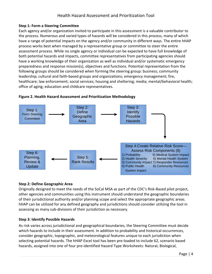## **Step 1: Form a Steering Committee**

Each agency and/or organization invited to participate in this assessment is a valuable contributor to the process. Numerous and varied types of hazards will be considered in this process, many of which have a range of potential impacts on the agency and/or community in different ways. The entire hHAP process works best when managed by a representative group or committee to steer the entire assessment process. While no single agency or individual can be expected to have full knowledge of both potential hazards and impacts, committee representatives from participating agencies should have a working knowledge of their organization as well as individual and/or systematic emergency preparedness and response mission(s), objectives and functions. Potential representation from the following groups should be considered when forming the steering group: business; community leadership; cultural and faith-based groups and organizations; emergency management; fire, healthcare; law enforcement; social services; housing and sheltering; media; mental/behavioral health; office of aging; education and childcare representatives.



#### **Figure 2. Health Hazard Assessment and Prioritization Methodology**

## **Step 2: Define Geographic Area**

Originally designed to meet the needs of the SoCal MSA as part of the CDC's Risk-Based pilot project, other agencies and communities using this instrument should understand the geographic boundaries of their jurisdictional authority and/or planning scope and select the appropriate geographic areas. hHAP can be utilized for any defined geography and jurisdictions should consider utilizing the tool in assessing as many sub-divisions of their jurisdiction as necessary.

#### **Step 3: Identify Possible Hazards**

As risk varies across jurisdictional and geographical boundaries, the Steering Committee must decide which hazards to include in their assessment. In addition to probability and historical occurrences, consider geographic, topographic, and meteorological features unique to each jurisdiction when selecting potential hazards. The hHAP Excel tool has been pre-loaded to include 62, scenario based hazards, assigned into one of four pre-identified Hazard Type Worksheets: Natural, Biological,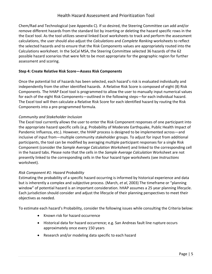Chem/Rad and Technological (see Appendix C). If so desired, the Steering Committee can add and/or remove different hazards from the standard list by inserting or deleting the hazard specific rows in the the Excel tool. As the tool utilizes several linked Excel worksheets to track and perform the assessment calculations, the user should also adjust the *Calculations* and *Complete Ranking* worksheets to reflect the selected hazards and to ensure that the Risk Components values are appropriately routed into the Calculations worksheet. In the SoCal MSA, the Steering Committee selected 36 hazards of the 62 possible hazard scenarios that were felt to be most appropriate for the geographic region for further assessment and scoring.

## **Step 4: Create Relative Risk Score—Assess Risk Components**

Once the potential list of hazards has been selected, each hazard's risk is evaluated individually and independently from the other identified hazards. A Relative Risk Score is composed of eight (8) Risk Components. The hHAP Excel tool is programmed to allow the user to manually input numerical values for each of the eight Risk Components—outlined in the following steps—for each individual hazard. The Excel tool will then calculate a Relative Risk Score for each identified hazard by routing the Risk Components into a pre-programmed formula.

## *Community and Stakeholder Inclusion*

The Excel tool currently allows the user to enter the Risk Component responses of one participant into the appropriate hazard specific cells (e.g. Probability of Moderate Earthquake, Public Health Impact of Pandemic Influenza, etc.). However, the hHAP process is designed to be implemented across—and inclusive of input from—multiple community stakeholder groups. To adjust for input from additional participants, the tool can be modified by averaging multiple participant responses for a single Risk Component (consider the *Sample Average Calculation Worksheet*) and linked to the corresponding cell in the hazard tabs. Please note that the cells in the *Sample Average Calculation* Worksheet are not presently linked to the corresponding cells in the four hazard type worksheets (see *Instructions* worksheet).

## *Risk Component #1: Hazard Probability*

Estimating the probability of a specific hazard occurring is informed by historical experience and data but is inherently a complex and subjective process. (March, *et al*, 2003) The timeframe or "planning window" of potential hazard is an important consideration. hHAP assumes a 25 year planning lifecycle. Each jurisdiction should consider and adjust the lifecycle of their planning perspectives to meet their objectives as needed.

To estimate each hazard's Probability, consider the following issues while consulting the Criteria below:

- Known risk for hazard occurrence
- Historical data for hazard occurrence; e.g. San Andreas fault line rupture occurs approximately once every 150 years
- Research and/or modeling data specific to each hazard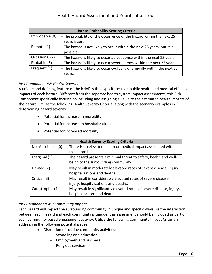| <b>Hazard Probability Scoring Criteria</b> |                                                                          |
|--------------------------------------------|--------------------------------------------------------------------------|
| Improbable (0)                             | - The probability of the occurrence of the hazard within the next 25     |
|                                            | years is zero                                                            |
| Remote (1)                                 | -The hazard is not likely to occur within the next 25 years, but it is   |
|                                            | possible.                                                                |
| Occasional (2)                             | -The hazard is likely to occur at least once within the next 25 years.   |
| Probable (3)                               | -The hazard is likely to occur several times within the next 25 years.   |
| Frequent (4)                               | -The hazard is likely to occur cyclically or annually within the next 25 |
|                                            | vears.                                                                   |

## *Risk Component #2: Health Severity*

A unique and defining feature of the hHAP is the explicit focus on public health and medical effects and impacts of each hazard. Different from the separate health system impact assessments, this Risk Component specifically focuses on including and assigning a value to the estimated health impacts of the hazard. Utilize the following Health Severity Criteria, along with the scenario examples in determining hazard severity:

- Potential for increase in morbidity
- Potential for increase in hospitalizations
- Potential for increased mortality

| <b>Health Severity Scoring Criteria</b> |                                                                       |
|-----------------------------------------|-----------------------------------------------------------------------|
| Not Applicable (0)                      | There is no elevated health or medical impact associated with         |
|                                         | this hazard.                                                          |
| Marginal (1)                            | The hazard presents a minimal threat to safety, health and well-      |
|                                         | being of the surrounding community.                                   |
| Limited (2)                             | May result in moderately elevated rates of severe disease, injury,    |
|                                         | hospitalizations and deaths.                                          |
| Critical (3)                            | May result in considerably elevated rates of severe disease,          |
|                                         | injury, hospitalizations and deaths.                                  |
| Catastrophic (4)                        | May result in significantly elevated rates of severe disease, injury, |
|                                         | hospitalizations and deaths.                                          |

## *Risk Components #3: Community Impact*

Each hazard will impact the surrounding community in unique and specific ways. As the interaction between each hazard and each community is unique, this assessment should be included as part of each community based engagement activity. Utilize the following Community Impact Criteria in addressing the following potential issues:

- Disruption of routine community activities:
	- $-$  Schooling and education
	- Employment and business
	- $-$  Religious services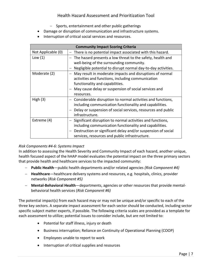- Sports, entertainment and other public gatherings
- Damage or disruption of communication and infrastructure systems.
- Interruption of critical social services and resources.

| <b>Community Impact Scoring Criteria</b> |                                                                |
|------------------------------------------|----------------------------------------------------------------|
| Not Applicable (0)                       | There is no potential impact associated with this hazard.      |
| Low $(1)$                                | - The hazard presents a low threat to the safety, health and   |
|                                          | well-being of the surrounding community.                       |
|                                          | Negligible potential to disrupt normal day-to-day activities.  |
| Moderate (2)                             | May result in moderate impacts and disruptions of normal       |
|                                          | activities and functions, including communication              |
|                                          | functionality and capabilities.                                |
|                                          | May cause delay or suspension of social services and           |
|                                          | resources.                                                     |
| High $(3)$                               | Considerable disruption to normal activities and functions,    |
|                                          | including communication functionality and capabilities.        |
|                                          | - Delay or suspension of social services, resources and public |
|                                          | infrastructure.                                                |
| Extreme (4)                              | Significant disruption to normal activities and functions,     |
|                                          | including communication functionality and capabilities.        |
|                                          | Destruction or significant delay and/or suspension of social   |
|                                          | services, resources and public infrastructure.                 |

## *Risk Components #4-6: Systems Impact*

In addition to assessing the Health Severity and Community Impact of each hazard, another unique, health focused aspect of the hHAP model evaluates the potential impact on the three primary sectors that provide health and healthcare services to the impacted community:

- **Public Health**—public health departments and/or related agencies *(Risk Component #4)*
- **Healthcare**—healthcare delivery systems and resources, e.g. hospitals, clinics, provider networks (*Risk Component #5)*
- **Mental-Behavioral Health**—departments, agencies or other resources that provide mentalbehavioral health services (*Risk Component #6)*

The potential impact(s) from each hazard may or may not be unique and/or specific to each of the three key sectors. A separate impact assessment for each sector should be conducted, including sector specific subject matter experts, if possible. The following criteria scales are provided as a template for each assessment to utilize; potential issues to consider include, but are not limited to:

- Potential for staff illness, injury or death
- Business interruption; Reliance on Continuity of Operational Planning (COOP)
- Employees unable to report to work
- Interruption of critical supplies and resources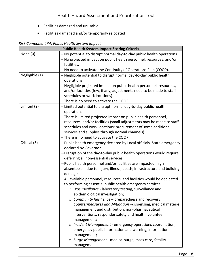- Facilities damaged and unusable
- Facilities damaged and/or temporarily relocated

*Risk Component #4: Public Health System Impact*

| <b>Public Health System Impact Scoring Criteria</b> |                                                                                   |
|-----------------------------------------------------|-----------------------------------------------------------------------------------|
| None $(0)$                                          | - No potential to disrupt normal day-to-day public health operations.             |
|                                                     | - No projected impact on public health personnel, resources, and/or               |
|                                                     | facilities.                                                                       |
|                                                     | - No need to activate the Continuity of Operations Plan (COOP).                   |
| Negligible (1)                                      | - Negligible potential to disrupt normal day-to-day public health                 |
|                                                     | operations.                                                                       |
|                                                     | - Negligible projected impact on public health personnel, resources,              |
|                                                     | and/or facilities (few, if any, adjustments need to be made to staff              |
|                                                     | schedules or work locations).                                                     |
|                                                     | - There is no need to activate the COOP.                                          |
| Limited (2)                                         | - Limited potential to disrupt normal day-to-day public health                    |
|                                                     | operations.                                                                       |
|                                                     | - There is limited projected impact on public health personnel,                   |
|                                                     | resources, and/or facilities (small adjustments may be made to staff              |
|                                                     | schedules and work locations; procurement of some additional                      |
|                                                     | services and supplies through normal channels).                                   |
|                                                     | - There is no need to activate the COOP.                                          |
| Critical (3)                                        | -Public health emergency declared by Local officials. State emergency             |
|                                                     | declared by Governor.                                                             |
|                                                     | - Disruption of the day-to-day public health operations would require             |
|                                                     | deferring all non-essential services.                                             |
|                                                     | -Public health personnel and/or facilities are impacted: high                     |
|                                                     | absenteeism due to injury, illness, death; infrastructure and building<br>damage. |
|                                                     | -All available personnel, resources, and facilities would be dedicated            |
|                                                     | to performing essential public health emergency services                          |
|                                                     | o Biosurveillance - laboratory testing, surveillance and                          |
|                                                     | epidemiological investigation;                                                    |
|                                                     | $\circ$ Community Resilience – preparedness and recovery;                         |
|                                                     | Countermeasures and Mitigation -dispensing, medical materiel                      |
|                                                     | management and distribution, non-pharmaceutical                                   |
|                                                     | interventions, responder safety and health, volunteer                             |
|                                                     | management;                                                                       |
|                                                     | $\circ$ Incident Management - emergency operations coordination,                  |
|                                                     | emergency public information and warning, information                             |
|                                                     | management;                                                                       |
|                                                     | o Surge Management - medical surge, mass care, fatality                           |
|                                                     | management                                                                        |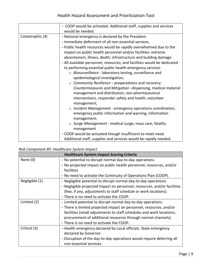|                  | - COOP would be activated. Additional staff, supplies and services     |
|------------------|------------------------------------------------------------------------|
|                  | would be needed.                                                       |
| Catastrophic (4) | -National emergency is declared by the President.                      |
|                  | -Immediate deferment of all non-essential services.                    |
|                  | -Public health resources would be rapidly overwhelmed due to the       |
|                  | impact on public health personnel and/or facilities: extreme           |
|                  | absenteeism, illness, death; infrastructure and building damage.       |
|                  | -All available personnel, resources, and facilities would be dedicated |
|                  | to performing essential public health emergency services               |
|                  | $\circ$ Biosurveillance - laboratory testing, surveillance and         |
|                  | epidemiological investigation;                                         |
|                  | $\circ$ Community Resilience – preparedness and recovery;              |
|                  | Countermeasures and Mitigation -dispensing, medical materiel           |
|                  | management and distribution, non-pharmaceutical                        |
|                  | interventions, responder safety and health, volunteer                  |
|                  | management;                                                            |
|                  | $\circ$ Incident Management - emergency operations coordination,       |
|                  | emergency public information and warning, information                  |
|                  | management;                                                            |
|                  | $\circ$ Surge Management - medical surge, mass care, fatality          |
|                  | management                                                             |
|                  | -COOP would be activated though insufficient to meet need.             |
|                  | Additional staff, supplies and services would be rapidly needed.       |

# *Risk Component #5: Healthcare System Impact*

| <b>Healthcare System Impact Scoring Criteria</b> |                                                                          |
|--------------------------------------------------|--------------------------------------------------------------------------|
| None $(0)$                                       | - No potential to disrupt normal day-to-day operations.                  |
|                                                  | - No projected impact on public health personnel, resources, and/or      |
|                                                  | facilities.                                                              |
|                                                  | - No need to activate the Continuity of Operations Plan (COOP).          |
| Negligible (1)                                   | - Negligible potential to disrupt normal day-to-day operations.          |
|                                                  | - Negligible projected impact on personnel, resources, and/or facilities |
|                                                  | (few, if any, adjustments to staff schedule or work locations).          |
|                                                  | - There is no need to activate the COOP.                                 |
| Limited (2)                                      | - Limited potential to disrupt normal day-to-day operations.             |
|                                                  | - There is limited projected impact on personnel, resources, and/or      |
|                                                  | facilities (small adjustments to staff schedules and work locations;     |
|                                                  | procurement of additional resources through normal channels).            |
|                                                  | - There is no need to activate the COOP.                                 |
| Critical (3)                                     | -Health emergency declared by Local officials. State emergency           |
|                                                  | declared by Governor.                                                    |
|                                                  | - Disruption of the day-to-day operations would require deferring all    |
|                                                  | non-essential services.                                                  |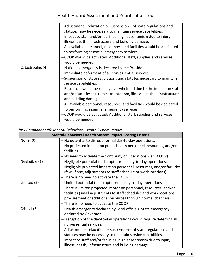|                  | -Adjustment-relaxation or suspension-of state regulations and<br>statutes may be necessary to maintain service capabilities.<br>-Impact to staff and/or facilities: high absenteeism due to injury,<br>illness, death; infrastructure and building damage.<br>-All available personnel, resources, and facilities would be dedicated<br>to performing essential emergency services<br>-COOP would be activated. Additional staff, supplies and services<br>would be needed.                                                                                                                        |
|------------------|----------------------------------------------------------------------------------------------------------------------------------------------------------------------------------------------------------------------------------------------------------------------------------------------------------------------------------------------------------------------------------------------------------------------------------------------------------------------------------------------------------------------------------------------------------------------------------------------------|
| Catastrophic (4) | -National emergency is declared by the President.<br>-Immediate deferment of all non-essential services.<br>-Suspension of state regulations and statutes necessary to maintain<br>service capabilities.<br>- Resources would be rapidly overwhelmed due to the impact on staff<br>and/or facilities: extreme absenteeism, illness, death; infrastructure<br>and building damage.<br>-All available personnel, resources, and facilities would be dedicated<br>to performing essential emergency services<br>-COOP would be activated. Additional staff, supplies and services<br>would be needed. |

## *Risk Component #6: Mental-Behavioral Health System Impact*

| <b>Mental-Behavioral Health System Impact Scoring Criteria</b> |                                                                          |
|----------------------------------------------------------------|--------------------------------------------------------------------------|
| None $(0)$                                                     | - No potential to disrupt normal day-to-day operations.                  |
|                                                                | - No projected impact on public health personnel, resources, and/or      |
|                                                                | facilities.                                                              |
|                                                                | - No need to activate the Continuity of Operations Plan (COOP).          |
| Negligible (1)                                                 | - Negligible potential to disrupt normal day-to-day operations.          |
|                                                                | - Negligible projected impact on personnel, resources, and/or facilities |
|                                                                | (few, if any, adjustments to staff schedule or work locations).          |
|                                                                | - There is no need to activate the COOP.                                 |
| Limited (2)                                                    | - Limited potential to disrupt normal day-to-day operations.             |
|                                                                | - There is limited projected impact on personnel, resources, and/or      |
|                                                                | facilities (small adjustments to staff schedules and work locations;     |
|                                                                | procurement of additional resources through normal channels).            |
|                                                                | - There is no need to activate the COOP.                                 |
| Critical (3)                                                   | -Health emergency declared by Local officials. State emergency           |
|                                                                | declared by Governor.                                                    |
|                                                                | - Disruption of the day-to-day operations would require deferring all    |
|                                                                | non-essential services.                                                  |
|                                                                | -Adjustment-relaxation or suspension-of state regulations and            |
|                                                                | statutes may be necessary to maintain service capabilities.              |
|                                                                | -Impact to staff and/or facilities: high absenteeism due to injury,      |
|                                                                | illness, death; infrastructure and building damage.                      |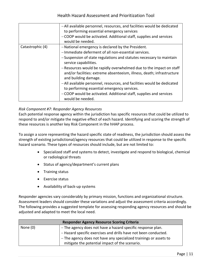|                  | -All available personnel, resources, and facilities would be dedicated<br>to performing essential emergency services<br>-COOP would be activated. Additional staff, supplies and services<br>would be needed.                                                                                                                                                                                                                                                                                                                                                                                       |
|------------------|-----------------------------------------------------------------------------------------------------------------------------------------------------------------------------------------------------------------------------------------------------------------------------------------------------------------------------------------------------------------------------------------------------------------------------------------------------------------------------------------------------------------------------------------------------------------------------------------------------|
| Catastrophic (4) | -National emergency is declared by the President.<br>-Immediate deferment of all non-essential services.<br>-Suspension of state regulations and statutes necessary to maintain<br>service capabilities.<br>- Resources would be rapidly overwhelmed due to the impact on staff<br>and/or facilities: extreme absenteeism, illness, death; infrastructure<br>and building damage.<br>-All available personnel, resources, and facilities would be dedicated<br>to performing essential emergency services.<br>-COOP would be activated. Additional staff, supplies and services<br>would be needed. |

## *Risk Component #7: Responder Agency Resources*

Each potential response agency within the jurisdiction has specific resources that could be utilized to respond to and/or mitigate the negative effect of each hazard. Identifying and scoring the strength of these resources is another key Risk Component in the hHAP process.

To assign a score representing the hazard specific state of readiness, the jurisdiction should assess the strength of existing jurisdictional/agency resources that could be utilized in response to the specific hazard scenario. These types of resources should include, but are not limited to:

- Specialized staff and systems to detect, investigate and respond to biological, chemical or radiological threats
- Status of agency/department's current plans
- Training status
- Exercise status
- Availability of back-up systems

Responder agencies vary considerably by primary mission, functions and organizational structure. Assessment leaders should consider these variations and adjust the assessment criteria accordingly. The following provides a suggested template for assessing responding agency resources and should be adjusted and adapted to meet the local need.

| <b>Responder Agency Resource Scoring Criteria</b> |                                                                   |
|---------------------------------------------------|-------------------------------------------------------------------|
| None (0)                                          | - The agency does not have a hazard specific response plan.       |
|                                                   | - Hazard specific exercises and drills have not been conducted.   |
|                                                   | - The agency does not have any specialized trainings or assets to |
|                                                   | mitigate the potential impact of the scenario.                    |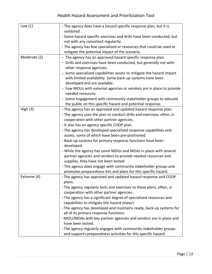| Low $(1)$    | - The agency does have a hazard specific response plan, but it is<br>outdated.                                 |
|--------------|----------------------------------------------------------------------------------------------------------------|
|              | - Some hazard specific exercises and drills have been conducted, but<br>not with any consistent regularity.    |
|              | - The agency has few specialized or resources that could be used to                                            |
|              | mitigate the potential impact of the scenario.                                                                 |
| Moderate (2) | - The agency has an approved hazard specific response plan.                                                    |
|              | - Drills and exercises have been conducted, but generally not with                                             |
|              | other response agencies.                                                                                       |
|              | - Some specialized capabilities assets to mitigate the hazard impact                                           |
|              | with limited availability. Some back-up systems have been                                                      |
|              | developed and are available.                                                                                   |
|              | - Few MOUs with external agencies or vendors are in place to provide                                           |
|              | needed resources.                                                                                              |
|              | - Some engagement with community stakeholder groups to educate                                                 |
|              | the public on this specific hazard and potential response.                                                     |
| High $(3)$   | -The agency has an approved and updated hazard response plan.                                                  |
|              | -The agency uses the plan to conduct drills and exercises, often, in                                           |
|              | cooperation with other partner agencies.                                                                       |
|              | - It also has an agency specific COOP plan.<br>-The agency has developed specialized response capabilities and |
|              | assets, some of which have been pre-positioned.                                                                |
|              | -Back-up systems for primary response functions have been                                                      |
|              | developed.                                                                                                     |
|              | - While the agency has some MOUs and MOAs in place with several                                                |
|              | partner agencies and vendors to provide needed resources and                                                   |
|              | supplies, they have not been tested.                                                                           |
|              | -The agency does engage with community stakeholder groups and                                                  |
|              | promotes preparedness kits and plans for this specific hazard.                                                 |
| Extreme (4)  | -The agency has approved and updated hazard response and COOP<br>plans.                                        |
|              | -The agency regularly tests and exercises to these plans, often, in                                            |
|              | cooperation with other partner agencies.                                                                       |
|              | -The agency has a significant degree of specialized resources and                                              |
|              | capabilities to mitigate the hazard impact.                                                                    |
|              | -The agency has developed and maintains ready, back-up systems for                                             |
|              | all of its primary response functions.                                                                         |
|              | -MOU/MOAs with key partner agencies and vendors are in place and                                               |
|              | have been tested.                                                                                              |
|              | -The agency regularly engages with community stakeholder groups                                                |
|              | and supports preparedness activities for this specific hazard.                                                 |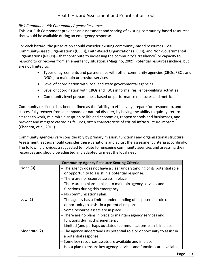## *Risk Component #8: Community Agency Resources*

This last Risk Component provides an assessment and scoring of existing community-based resources that would be available during an emergency response.

For each hazard, the jurisdiction should consider existing community-based resources—via Community-Based Organizations (CBOs), Faith-Based Organizations (FBOs), and Non-Governmental Organizations (NGOs)—that contribute to increasing the community's "resiliency" or capacity to respond to or recover from an emergency situation. (Magsino, 2009) Potential resources include, but are not limited to:

- Types of agreements and partnerships with other community agencies (CBOs, FBOs and NGOs) to maintain or provide services
- Level of coordination with local and state governmental agencies
- Level of coordination with CBOs and FBOs in formal resilience-building activities
- Community level preparedness based on performance measures and metrics

Community resilience has been defined as the "ability to effectively prepare for, respond to, and successfully recover from a manmade or natural disaster, by having the ability to quickly: return citizens to work, minimize disruption to life and economies, reopen schools and businesses, and prevent and mitigate cascading failures, often characteristic of critical infrastructure impacts." (Chandra, et al, 2011)

Community agencies vary considerably by primary mission, functions and organizational structure. Assessment leaders should consider these variations and adjust the assessment criteria accordingly. The following provides a suggested template for engaging community agencies and assessing their resources and should be adjusted and adapted to meet the local need.

| <b>Community Agency Resource Scoring Criteria</b> |                                                                         |
|---------------------------------------------------|-------------------------------------------------------------------------|
| None $(0)$                                        | - The agency does not have a clear understanding of its potential role  |
|                                                   | or opportunity to assist in a potential response.                       |
|                                                   | - There are no resource assets in place.                                |
|                                                   | - There are no plans in place to maintain agency services and           |
|                                                   | functions during this emergency.                                        |
|                                                   | $-$ No communications plan.                                             |
| Low $(1)$                                         | - The agency has a limited understanding of its potential role or       |
|                                                   | opportunity to assist in a potential response.                          |
|                                                   | - Some resource assets are in place.                                    |
|                                                   | - There are no plans in place to maintain agency services and           |
|                                                   | functions during this emergency.                                        |
|                                                   | - Limited (and perhaps outdated) communications plan is in place.       |
| Moderate (2)                                      | - The agency understands its potential role or opportunity to assist in |
|                                                   | a potential response.                                                   |
|                                                   | - Some key resources assets are available and in place.                 |
|                                                   | - Has a plan to ensure key agency services and functions are available  |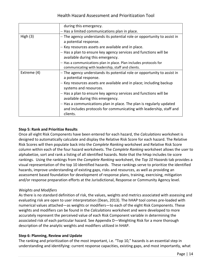|             | during this emergency.                                                                                                                                 |
|-------------|--------------------------------------------------------------------------------------------------------------------------------------------------------|
|             | - Has a limited communications plan in place.                                                                                                          |
| High $(3)$  | - The agency understands its potential role or opportunity to assist in<br>a potential response.                                                       |
|             | - Key resources assets are available and in place.                                                                                                     |
|             | - Has a plan to ensure key agency services and functions will be<br>available during this emergency.                                                   |
|             | - Has a communications plan in place. Plan includes protocols for<br>communicating with leadership, staff and clients.                                 |
| Extreme (4) | - The agency understands its potential role or opportunity to assist in<br>a potential response.                                                       |
|             | - Key resources assets are available and in place; including backup<br>systems and resources.                                                          |
|             | - Has a plan to ensure key agency services and functions will be<br>available during this emergency.                                                   |
|             | - Has a communications plan in place. The plan is regularly updated<br>and includes protocols for communicating with leadership, staff and<br>clients. |

## **Step 5: Rank and Prioritize Results**

Once all eight Risk Components have been entered for each hazard, the *Calculations* worksheet is designed to automatically calculate and display the Relative Risk Score for each hazard. The Relative Risk Scores will then populate back into the *Complete Ranking* worksheet and Relative Risk Score column within each of the four hazard worksheets. The *Complete Ranking* worksheet allows the user to alphabetize, sort and rank a listing of all identified hazards. Note that the hHap includes tie score rankings. Using the rankings from the *Complete Ranking* worksheet, the *Top 10 Hazards* tab provides a visual representation of the top 10 identified hazards. These rankings serve to prioritize the identified hazards, improve understanding of existing gaps, risks and resources, as well as providing an assessment based foundation for development of response plans, training, exercising, mitigation and/or response preparation efforts at the Jurisdictional, Response or Community Agency level.

## *Weights and Modifiers*

As there is no standard definition of risk, the values, weights and metrics associated with assessing and evaluating risk are open to user interpretation (Dean, 2013). The hHAP tool comes pre-loaded with numerical values attached—as weights or modifiers—to each of the eight Risk Components. These weights and modifiers can be found in the *Calculations* worksheet and were developed to more accurately represent the perceived value of each Risk Component variable in determining the associated risk of each particular hazard. See Appendix D—Weighting Risk for a more thorough description of the analytic weights and modifiers utilized in hHAP.

## **Step 6: Planning, Review and Update**

The ranking and prioritization of the most important, i.e. "Top 10," hazards is an essential step in understanding and identifying: current response capacities, existing gaps, and most importantly, what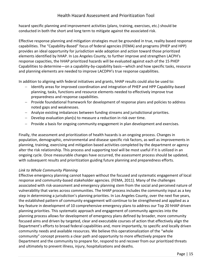hazard specific planning and improvement activities (plans, training, exercises, etc.) should be conducted in both the short and long term to mitigate against the associated risk.

Effective response planning and mitigation strategies must be grounded in true, reality based response capabilities. The "Capability-Based" focus of federal agencies (FEMA) and programs (PHEP and HPP) provides an ideal opportunity for jurisdiction wide adoption and action toward those prioritized elements identified by hHAP. In Los Angeles County, to further improve and strengthen LACPH's response capacities, the hHAP prioritized hazards will be evaluated against each of the 15 PHEP Capabilities to determine—on a capability-by-capability basis—which and how specific tasks, resource and planning elements are needed to improve LACDPH's true response capabilities.

In addition to aligning with federal initiatives and grants, hHAP results could also be used to:

- Identify areas for improved coordination and integration of PHEP and HPP Capability-based planning, tasks, functions and resource elements needed to effectively improve true preparedness and response capabilities.
- Provide foundational framework for development of response plans and policies to address noted gaps and weaknesses.
- Analyze existing imbalances between funding streams and jurisdictional priorities.
- $-$  Develop evaluation plan(s) to measure a reduction in risk over time.
- $-$  Provide a basis for ongoing community engagement in plan development and exercises.

Finally, the assessment and prioritization of health hazards is an ongoing process. Changes in population, demographic, environmental and disease specific risk factors, as well as improvements in planning, training, exercising and mitigation based activities completed by the department or agency alter the risk relationship. This process and supporting tool will be most useful if it is utilized in an ongoing cycle. Once measurable changes have occurred, the assessment process should be updated, with subsequent results and prioritization guiding future planning and preparedness efforts.

#### *Link to Whole Community Planning*

Effective emergency planning cannot happen without the focused and systematic engagement of local response and community-based stakeholder agencies. (FEMA, 2011). Many of the challenges associated with risk-assessment and emergency planning stem from the social and perceived nature of vulnerability that varies across communities. The hHAP process includes the community input as a key step in determining a jurisdiction's planning priorities. In Los Angeles County, over the next five years, the established pattern of community engagement will continue to be strengthened and applied as a key feature in development of 10 comprehensive emergency plans to address our Top 20 hHAP driven planning priorities. This systematic approach and engagement of community agencies into the planning process allows for development of emergency plans defined by broader, more community focused aims and driven by targeted, clear and executable courses of action that effectively align the Department's efforts to broad federal capabilities and, more importantly, to specific and locally driven community needs and available resources. We believe this operationalization of the "whole community" concept presents a clear path and opportunity to more effectively prepare the Department and the community to prepare for, respond to and recover from our prioritized threats and ultimately to prevent illness, injury, hospitalizations and deaths.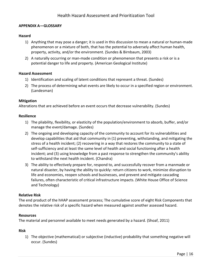#### **APPENDIX A—GLOSSARY**

#### **Hazard**

- 1) Anything that may pose a danger; it is used in this discussion to mean a natural or human-made phenomenon or a mixture of both, that has the potential to adversely affect human health, property, activity, and/or the environment. (Sundes & Birnbaum, 2003)
- 2) A naturally occurring or man-made condition or phenomenon that presents a risk or is a potential danger to life and property. (American Geological Institute)

#### **Hazard Assessment**

- 1) Identification and scaling of latent conditions that represent a threat. (Sundes)
- 2) The process of determining what events are likely to occur in a specified region or environment. (Landesman)

#### **Mitigation**

Alterations that are achieved before an event occurs that decrease vulnerability. (Sundes)

#### **Resilience**

- 1) The pliability, flexibility, or elasticity of the population/environment to absorb, buffer, and/or manage the event/damage. (Sundes)
- 2) The ongoing and developing capacity of the community to account for its vulnerabilities and develop capabilities that aid that community in (1) preventing, withstanding, and mitigating the stress of a health incident; (2) recovering in a way that restores the community to a state of self-sufficiency and at least the same level of health and social functioning after a health incident; and (3) using knowledge from a past response to strengthen the community's ability to withstand the next health incident. (Chandra)
- 3) The ability to effectively prepare for, respond to, and successfully recover from a manmade or natural disaster, by having the ability to quickly: return citizens to work, minimize disruption to life and economies, reopen schools and businesses, and prevent and mitigate cascading failures, often characteristic of critical infrastructure impacts. (White House Office of Science and Technology)

#### **Relative Risk**

The end product of the hHAP assessment process; The cumulative score of eight Risk Components that denotes the relative risk of a specific hazard when measured against another assessed hazard.

#### **Resources**

The material and personnel available to meet needs generated by a hazard. (Shoaf, 2011)

#### **Risk**

1) The objective (mathematical) or subjective (inductive) probability that something negative will occur. (Sundes)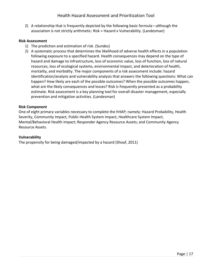2) A relationship that is frequently depicted by the following basic formula—although the association is not strictly arithmetic: Risk = Hazard x Vulnerability. (Landesman)

## **Risk Assessment**

- 1) The prediction and estimation of risk. (Sundes)
- 2) A systematic process that determines the likelihood of adverse health effects in a population following exposure to a specified hazard. Health consequences may depend on the type of hazard and damage to infrastructure, loss of economic value, loss of function, loss of natural resources, loss of ecological systems, environmental impact, and deterioration of health, mortality, and morbidity. The major components of a risk assessment include: hazard identification/analysis and vulnerability analysis that answers the following questions: What can happen? How likely are each of the possible outcomes? When the possible outcomes happen, what are the likely consequences and losses? Risk is frequently presented as a probability estimate. Risk assessment is a key planning tool for overall disaster management, especially prevention and mitigation activities. (Landesman)

#### **Risk Component**

One of eight primary variables necessary to complete the hHAP; namely: Hazard Probability, Health Severity, Community Impact, Public Health System Impact, Healthcare System Impact, Mental/Behavioral Health Impact; Responder Agency Resource Assets; and Community Agency Resource Assets.

#### **Vulnerability**

The propensity for being damaged/impacted by a hazard (Shoaf, 2011)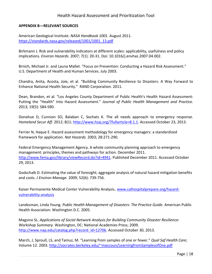#### **APPENDIX B—RELEVANT SOURCES**

American Geological Institute. *NASA Handbook 1001*. August 2011. [https://standards.nasa.gov/released/1001/1001\\_13.pdf](https://standards.nasa.gov/released/1001/1001_13.pdf)

Birkmann J. Risk and vulnerability indicators at different scales: applicability, usefulness and policy implications. *Environ Hazards*. 2007; 7(1): 20-31. Doi: 10.1016/j.envhaz.2007.04.002.

Brnich, Michael Jr. and Launa Mallet. "Focus on Prevention: Conducting a Hazard Risk Assessment." U.S. Department of Health and Human Services. July 2003.

[Chandra](file:///C:/Users/dbagwell/AppData/Local/Local%20Settings/Temp/XPgrpwise/.Chandra), Anita, Acosta, Joie, et al. "Building Community Resilience to Disasters: A Way Forward to Enhance National Health Security." RAND Corporation. 2011.

Dean, Brandon, et al. "Los Angeles County Department of Public Health's Health Hazard Assessment: Putting the "Health" Into Hazard Assessment." *Journal of Public Health Management and Practice.*  2013; 19(5): S84-S90.

Donahue D, Cunnion SO, Balaban C, Sochats K. The all needs approach to emergency response. *Homeland Secur Aff*. 2012; 8(1). [http://www.hsaj.org/?fullarticle=8.1.1.](http://www.hsaj.org/?fullarticle=8.1.1) Accessed October 23, 2013.

Ferrier N, Haque E. Hazard assessment methodology for emergency managers: a standardized framework for application. *Nat Hazards.* 2003; 28:271-290.

Federal Emergency Management Agency. A whole community planning approach to emergency management: principles, themes and pathways for action. December 2011. [http://www.fema.gov/library/viewRecord.do?id=4941.](http://www.fema.gov/library/viewRecord.do?id=4941) Published December 2011. Accessed October 29, 2013.

Godschalk D. Estimating the value of foresight; aggregate analysis of natural hazard mitigation benefits and costs. *J Environ Manage.* 2009; 52(6): 739-756.

Kaiser Permanente Medical Center Vulnerability Analysis. [www.calhospitalprepare.org/hazard](http://www.calhospitalprepare.org/hazard-vulnerability-analysis)[vulnerability-analysis](http://www.calhospitalprepare.org/hazard-vulnerability-analysis)

Landesman, Linda Young. *Public Health Management of Disasters: The Practice Guide.* American Public Health Association: Washington D.C. 2005.

Magsino SL. *Applications of Social Network Analysis for Building Community Disaster Resilience: Workshop Summary.* Washington, DC: National Academies Press; 2009. [http://www.nap.edu/catalog.php?record\\_id=12706.](http://www.nap.edu/catalog.php?record_id=12706) Accessed October 30, 2013.

March, J, Sproull, LS, and Tamuz, M. "Learning from samples of one or fewer." *Qual Saf Health Care*; Volume 12. 2003.<http://socrates.berkeley.edu/~maccoun/LearningfromSamplesofOne.pdf>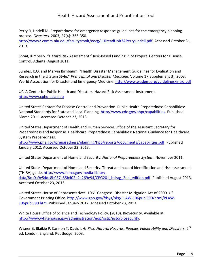Perry R, Lindell M. Preparedness for emergency response: guidelines for the emergency planning process. *Disasters.* 2003; 27(4): 336-350.

[http://www2.comm.niu.edu/faculty/rholt/eocg/LLRreadUnit3APerryLindell.pdf.](http://www2.comm.niu.edu/faculty/rholt/eocg/LLRreadUnit3APerryLindell.pdf) Accessed October 31, 2013.

Shoaf, Kimberly. "Hazard Risk Assessment." Risk-Based Funding Pilot Project. Centers for Disease Control, Atlanta, August 2011.

Sundes, K.O. and Marvin Birnbaum. "Health Disaster Management Guidelines for Evaluation and Research in the Utstein Style." *Prehospital and Disaster Medicine*; Volume 17(Supplement 3). 2003. World Association for Disaster and Emergency Medicine.<http://www.wadem.org/guidelines/intro.pdf>

UCLA Center for Public Health and Disasters. Hazard Risk Assessment Instrument. [http://www.cphd.ucla.edu](http://www.cphd.ucla.edu/)

United States Centers for Disease Control and Prevention. Public Health Preparedness Capabilities: National Standards for State and Local Planning. [http://www.cdc.gov/phpr/capabilities.](http://www.cdc.gov/phpr/capabilities) Published March 2011. Accessed October 23, 2013.

United States Department of Health and Human Services Office of the Assistant Secretary for Preparedness and Response. Healthcare Preparedness Capabilities: National Guidance for Healthcare System Preparedness.

[http://www.phe.gov/preparedness/planning/hpp/reports/documents/capabilities.pdf.](http://www.phe.gov/preparedness/planning/hpp/reports/documents/capabilities.pdf) Published January 2012. Accessed October 23, 2013.

United States Department of Homeland Security. *National Preparedness System*. November 2011.

United States Department of Homeland Security. Threat and hazard identification and risk assessment (THIRA) guide. [http://www.fema.gov/media-library](http://www.fema.gov/media-library-data/8ca0a9e54dc8b037a55b402b2a269e94/CPG201_htirag_2nd_edition.pdf)[data/8ca0a9e54dc8b037a55b402b2a269e94/CPG201\\_htirag\\_2nd\\_edition.pdf.](http://www.fema.gov/media-library-data/8ca0a9e54dc8b037a55b402b2a269e94/CPG201_htirag_2nd_edition.pdf) Published August 2013. Accessed October 23, 2013.

United States House of Representatives. 106<sup>th</sup> Congress. Disaster Mitigation Act of 2000. US Government Printing Office. [http://www.gpo.gov/fdsys/pkg/PLAW-106publ390/html/PLAW-](http://www.gpo.gov/fdsys/pkg/PLAW-106publ390/html/PLAW-106publ390.htm)[106publ390.htm.](http://www.gpo.gov/fdsys/pkg/PLAW-106publ390/html/PLAW-106publ390.htm) Published January 2012. Accessed October 23, 2013.

White House Office of Science and Technology Policy. (2010). BioSecurity. Available at: [http://www.whitehouse.gov/administration/eop/ostp/nstc/biosecurity.](http://www.whitehouse.gov/administration/eop/ostp/nstc/biosecurity)

Wisner B, Blaikie P, Cannon T, Davis I. *At Risk: Natural Hazards, Peoples Vulnerability and Disasters*. 2<sup>nd</sup> ed. London, England: Routledge; 2003.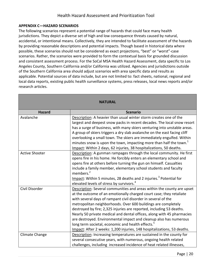#### **APPENDIX C—HAZARD SCENARIOS**

The following scenarios represent a potential range of hazards that could face many health jurisdictions. They depict a diverse set of high and low consequence threats caused by natural, accidental, or intentional means. Collectively, they are intended to facilitate assessment of the hazards by providing reasonable descriptions and potential impacts. Though based in historical data where possible, these scenarios should not be considered as exact projections, "best" or "worst"-case scenarios. Rather, the scenarios were provided to form the contextual basis for grounded discussion and consistent assessment process. For the SoCal MSA Health Hazard Assessment, data specific to Los Angeles County, Southern California and/or California was utilized. Agencies and jurisdictions outside of the Southern California area should adjust scenarios with area specific data and results as applicable. Potential sources of data include, but are not limited to: fact sheets, national, regional and local data reports, existing public health surveillance systems, press releases, local news reports and/or research articles.

| <b>NATURAL</b>        |                                                                                |
|-----------------------|--------------------------------------------------------------------------------|
| <b>Hazard</b>         | <b>Scenario</b>                                                                |
| Avalanche             | Description: A heavier than usual winter storm creates one of the              |
|                       | largest and deepest snow packs in recent decades. The local snow resort        |
|                       | has a surge of business, with many skiers venturing into unstable areas.       |
|                       | A group of skiers triggers a dry slab avalanche on the east facing cliff       |
|                       | overlooking a small town. The skiers are immediately engulfed. Within          |
|                       | minutes snow is upon the town, impacting more than half the town. <sup>1</sup> |
|                       | Impact: Within 2 days, 62 injuries, 38 hospitalizations, 50 deaths.            |
| <b>Active Shooter</b> | Description: A gunman rampages through the local community. He first           |
|                       | opens fire in his home. He forcibly enters an elementary school and            |
|                       | opens fire at others before turning the gun on himself. Casualties             |
|                       | include a family member, elementary school students and faculty                |
|                       | members. <sup>2</sup>                                                          |
|                       | Impact: Within 5 minutes, 28 deaths and 2 injuries. <sup>3</sup> Potential for |
|                       | elevated levels of stress by survivors. <sup>4</sup>                           |
| Civil Disorder        | Description: Several communities and areas within the county are upset         |
|                       | at the outcome of an emotionally charged court case; they retaliate            |
|                       | with several days of rampant civil disorder in several of the                  |
|                       | metropolitan neighborhoods. Over 600 buildings are completely                  |
|                       | destroyed by fire; 2,325 injuries are reported, including 53 deaths.           |
|                       | Nearly 50 private medical and dental offices, along with 45 pharmacies         |
|                       | are destroyed. Environmental impact and cleanup also has numerous              |
|                       | long term societal, economic and health effects. <sup>5</sup>                  |
|                       | Impact: After 2 weeks: 1,200 injuries, 148 hospitalizations, 53 deaths.        |
| Climate Change        | Description: Increasing temperatures are sustained in the county for           |
|                       | several consecutive years, with numerous, ongoing health related               |
|                       | challenges, including increased incidence of heat related illnesses,           |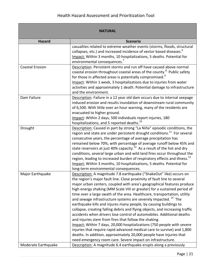|                        | <b>NATURAL</b>                                                                                                                                                                                                                                                                                                                                                                                                                                                                                                                                                                                                                                                                                                                                                                                                                                                                                                                                                                                                                                  |
|------------------------|-------------------------------------------------------------------------------------------------------------------------------------------------------------------------------------------------------------------------------------------------------------------------------------------------------------------------------------------------------------------------------------------------------------------------------------------------------------------------------------------------------------------------------------------------------------------------------------------------------------------------------------------------------------------------------------------------------------------------------------------------------------------------------------------------------------------------------------------------------------------------------------------------------------------------------------------------------------------------------------------------------------------------------------------------|
| <b>Hazard</b>          | <b>Scenario</b>                                                                                                                                                                                                                                                                                                                                                                                                                                                                                                                                                                                                                                                                                                                                                                                                                                                                                                                                                                                                                                 |
|                        | casualties related to extreme weather events (storms, floods, structural<br>collapses, etc.) and increased incidence of vector based diseases. <sup>6</sup><br>Impact: Within 3 months, 10 hospitalizations, 5 deaths. Potential for<br>environmental consequences. <sup>7</sup>                                                                                                                                                                                                                                                                                                                                                                                                                                                                                                                                                                                                                                                                                                                                                                |
| <b>Coastal Erosion</b> | Description: Persistent storms and run off have caused above normal<br>coastal erosion throughout coastal areas of the county. <sup>8</sup> Public safety<br>for those in affected areas is potentially compromised. <sup>9</sup><br>Impact: Within 1 week, 3 hospitalizations due to injuries from water<br>activities and approximately 1 death. Potential damage to infrastructure<br>and the environment.                                                                                                                                                                                                                                                                                                                                                                                                                                                                                                                                                                                                                                   |
| Dam Failure            | Description: Failure in a 12 year old dam occurs due to internal seepage<br>induced erosion and results inundation of downstream rural community<br>of 6,500. With little over an hour warning, many of the residents are<br>evacuated to higher ground.<br>Impact: Within 2 days, 500 individuals report injuries, 180<br>hospitalizations, and 5 reported deaths. <sup>10</sup>                                                                                                                                                                                                                                                                                                                                                                                                                                                                                                                                                                                                                                                               |
| Drought                | Description: Caused in part by strong "La Niña" episodic conditions, the<br>region and state are under persistent drought conditions. <sup>11</sup> For several<br>consecutive years, the percentage of average precipitation has<br>remained below 70%, with percentage of average runoff below 45% and<br>state reservoirs at just 40% capacity. <sup>12</sup> As a result of the hot and dry<br>conditions, several large urban and wild land fires occur throughout the<br>region, leading to increased burden of respiratory effects and illness. <sup>13</sup><br>Impact: Within 3 months, 10 hospitalizations, 5 deaths. Potential for<br>long-term environmental consequences.                                                                                                                                                                                                                                                                                                                                                          |
| Major Earthquake       | Description: A magnitude 7.8 earthquake ("ShakeOut" like) occurs on<br>the region's major fault line. Close proximity of fault line to several<br>major urban centers, coupled with area's geographical features produce<br>high energy shaking (MM Scale VIII or greater) for a sustained period of<br>time over a large swath of the area. Healthcare, transportation, utility<br>and sewage infrastructure systems are severely impacted. <sup>14</sup> The<br>earthquake kills and injures many people, by causing buildings to<br>collapse, creating falling debris and flying objects, and increasing traffic<br>accidents when drivers lose control of automobiles. Additional deaths<br>and injuries stem from fires that follow the shaking.<br>Impact: Within 7 days, 20,000 hospitalizations (750 people with severe<br>injuries that require rapid advanced medical care to survive) and 1,800<br>deaths. In addition, approximately 20,000 people have injuries that<br>need emergency room care. Severe impact on infrastructure. |
| Moderate Earthquake    | Description: A magnitude 6.4 earthquake erupts along a previously                                                                                                                                                                                                                                                                                                                                                                                                                                                                                                                                                                                                                                                                                                                                                                                                                                                                                                                                                                               |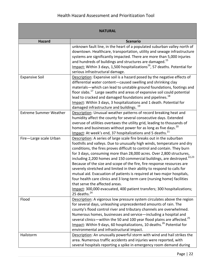|                               | <b>NATURAL</b>                                                                                                                                                                                                                                                                                                                                                                                                                                                                                                                                                                                                                                                                                                                                                                                                                                |
|-------------------------------|-----------------------------------------------------------------------------------------------------------------------------------------------------------------------------------------------------------------------------------------------------------------------------------------------------------------------------------------------------------------------------------------------------------------------------------------------------------------------------------------------------------------------------------------------------------------------------------------------------------------------------------------------------------------------------------------------------------------------------------------------------------------------------------------------------------------------------------------------|
| <b>Hazard</b>                 | <b>Scenario</b>                                                                                                                                                                                                                                                                                                                                                                                                                                                                                                                                                                                                                                                                                                                                                                                                                               |
|                               | unknown fault line, in the heart of a populated suburban valley north of<br>downtown. Healthcare, transportation, utility and sewage infrastructure<br>systems are significantly impacted. There are more than 5,000 injuries<br>and hundreds of buildings and structures are damaged. <sup>15</sup><br>Impact: Within 3 days, 1,500 hospitalizations <sup>16</sup> , 57 deaths. Potential for<br>serious infrastructural damage.                                                                                                                                                                                                                                                                                                                                                                                                             |
| <b>Expansive Soil</b>         | Description: Expansive soil is a hazard posed by the negative effects of<br>differential water content-caused swelling and shrinking clay<br>materials-which can lead to unstable ground foundations, footings and<br>floor slabs. <sup>17</sup> Large swaths and areas of expansive soil could potential<br>lead to cracked and damaged foundations and pipelines. <sup>18</sup><br>Impact: Within 3 days, 3 hospitalizations and 1 death. Potential for<br>damaged infrastructure and buildings. <sup>19</sup>                                                                                                                                                                                                                                                                                                                              |
| <b>Extreme Summer Weather</b> | Description: Unusual weather patterns of record breaking heat and<br>humidity affect the county for several consecutive days. Extended<br>overuse of utilities overtaxes the utility grid, leading to thousands of<br>homes and businesses without power for as long as five days. <sup>20</sup><br>Impact: At week's end, 37 hospitalizations and 5 deaths. <sup>21</sup>                                                                                                                                                                                                                                                                                                                                                                                                                                                                    |
| Fire-Large scale Urban        | Description: A series of large scale fire breaks out in the suburban<br>foothills and valleys. Due to unusually high winds, temperature and dry<br>conditions, the fires proves difficult to control and contain. They burn<br>for 3 days, consuming more than 28,000 acres. Over 2,800 structures,<br>including 2,200 homes and 150 commercial buildings, are destroyed. <sup>22,23</sup><br>Because of the size and scope of the fire, fire response resources are<br>severely stretched and limited in their ability to respond to calls for<br>mutual aid. Evacuation of patients is required at two major hospitals,<br>four health care clinics and 3 long-term care (nursing home) facilities<br>that serve the affected areas.<br>Impact: 300,000 evacuated, 400 patient transfers; 300 hospitalizations;<br>25 deaths. <sup>24</sup> |
| Flood                         | Description: A vigorous low pressure system circulates above the region<br>for several days, unleashing unprecedented amounts of rain. The<br>county's flood control river and tributary channels are overwhelmed.<br>Numerous homes, businesses and service-including a hospital and<br>several clinics—within the 50 and 100 year flood plains are affected. <sup>25</sup><br>Impact: Within 9 days, 60 hospitalizations, 10 deaths. <sup>26</sup> Potential for<br>environmental and infrastructural impact.                                                                                                                                                                                                                                                                                                                               |
| Hailstorm                     | Description: An unusually powerful storm with wind and hail strikes the<br>area. Numerous traffic accidents and injuries were reported, with<br>several hospitals reporting a spike in emergency room demand during                                                                                                                                                                                                                                                                                                                                                                                                                                                                                                                                                                                                                           |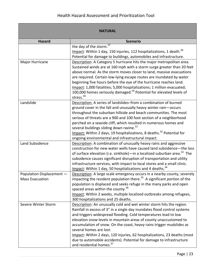<span id="page-24-0"></span>

| <b>NATURAL</b>            |                                                                                                                                     |
|---------------------------|-------------------------------------------------------------------------------------------------------------------------------------|
| <b>Hazard</b>             | <b>Scenario</b>                                                                                                                     |
|                           | 27<br>the day of the storm.                                                                                                         |
|                           | Impact: Within 1 day, 150 injuries, 112 hospitalizations, 1 death. <sup>28</sup>                                                    |
|                           | Potential for damage to buildings, automobiles and infrastructure.                                                                  |
| Major Hurricane           | Description: A Category 5 hurricane hits the major metropolitan area.                                                               |
|                           | Sustained winds are at 160 mph with a storm surge greater than 20 feet                                                              |
|                           | above normal. As the storm moves closer to land, massive evacuations                                                                |
|                           | are required. Certain low-lying escape routes are inundated by water                                                                |
|                           | beginning five hours before the eye of the hurricane reaches land.                                                                  |
|                           | Impact: 1,000 fatalities; 5,000 hospitalizations; 1 million evacuated;                                                              |
|                           | 100,000 homes seriously damaged. <sup>29</sup> Potential for elevated levels of<br>stress. <sup>30</sup>                            |
| Landslide                 |                                                                                                                                     |
|                           | Description: A series of landslides-from a combination of burned                                                                    |
|                           | ground cover in the fall and unusually heavy winter rain-occurs<br>throughout the suburban hillside and beach communities. The most |
|                           | serious of threats are a 900 and 100 foot section of a neighborhood                                                                 |
|                           | perched on a seaside cliff, which resulted in numerous homes and                                                                    |
|                           | several buildings sliding down ravine. <sup>31</sup>                                                                                |
|                           | Impact: Within 2 days, 19 hospitalizations, 8 deaths. <sup>32</sup> Potential for                                                   |
|                           | ongoing environmental and infrastructural impact.                                                                                   |
| Land Subsidence           | Description: A combination of unusually heavy rains and aggressive                                                                  |
|                           | construction for new water wells have caused land subsidence-the loss                                                               |
|                           | of surface elevation (i.e. sinkhole) - in a localized suburban area. <sup>33</sup> The                                              |
|                           | subsidence causes significant disruption of transportation and utility                                                              |
|                           | infrastructure services, with impact to local stores and a small clinic.                                                            |
|                           | Impact: Within 1 day, 50 hospitalizations and 4 deaths. <sup>34</sup>                                                               |
| Population Displacement - | Description: A large scale emergency occurs in a nearby county, severely                                                            |
| <b>Mass Evacuation</b>    | impacting the resident population there. <sup>35</sup> A significant portion of the                                                 |
|                           | population is displaced and seeks refuge in the many parks and open                                                                 |
|                           | spaced areas within the county. <sup>36</sup>                                                                                       |
|                           | Impact: Within 2 weeks, multiple localized outbreaks among refugees,                                                                |
|                           | 300 hospitalizations and 25 deaths.                                                                                                 |
| Severe Winter Storm       | Description: An unusually cold and wet winter storm hits the region.                                                                |
|                           | Rainfall in excess of 3" in a single day inundates flood control systems                                                            |
|                           | and triggers widespread flooding. Cold temperatures lead to low                                                                     |
|                           | elevation snow levels in mountain areas of county unaccustomed to                                                                   |
|                           | accumulation of snow. On the coast, heavy rains trigger mudslides as                                                                |
|                           | several homes are lost.                                                                                                             |
|                           | Impact: Within 2 days, 120 injuries, 62 hospitalizations, 23 deaths (most                                                           |
|                           | due to automobile accidents). Potential for damage to infrastructure                                                                |
|                           | and residential homes. <sup>37</sup>                                                                                                |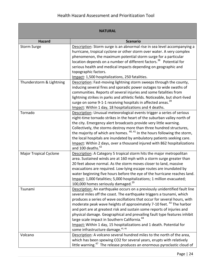|                               | <b>NATURAL</b>                                                                                                                                                                                                                                                                                                                                                                                                                                                                                                                                                                                                                                     |
|-------------------------------|----------------------------------------------------------------------------------------------------------------------------------------------------------------------------------------------------------------------------------------------------------------------------------------------------------------------------------------------------------------------------------------------------------------------------------------------------------------------------------------------------------------------------------------------------------------------------------------------------------------------------------------------------|
| <b>Hazard</b>                 | <b>Scenario</b>                                                                                                                                                                                                                                                                                                                                                                                                                                                                                                                                                                                                                                    |
| <b>Storm Surge</b>            | Description: Storm surge is an abnormal rise in sea level accompanying a<br>hurricane, tropical cyclone or other storm over water. A very complex                                                                                                                                                                                                                                                                                                                                                                                                                                                                                                  |
|                               | phenomenon, the maximum potential storm surge for a particular<br>location depends on a number of different factors. <sup>38</sup> Potential for                                                                                                                                                                                                                                                                                                                                                                                                                                                                                                   |
|                               | serious health and medical impacts depending on geographic and<br>topographic factors.                                                                                                                                                                                                                                                                                                                                                                                                                                                                                                                                                             |
|                               | Impact: 1,500 hospitalizations, 250 fatalities.                                                                                                                                                                                                                                                                                                                                                                                                                                                                                                                                                                                                    |
| Thunderstorm & Lightning      | Description: Fast-moving lightning storm sweeps through the county,<br>inducing several fires and sporadic power outages to wide swaths of<br>communities. Reports of several injuries and some fatalities from<br>lightning strikes in parks and athletic fields. Noticeable, but short-lived                                                                                                                                                                                                                                                                                                                                                     |
|                               | surge on some 9-1-1 receiving hospitals in affected areas. <sup>39</sup><br>Impact: Within 1 day, 18 hospitalizations and 4 deaths.                                                                                                                                                                                                                                                                                                                                                                                                                                                                                                                |
| Tornado                       | Description: Unusual meteorological events trigger a series of serious<br>night-time tornado strikes in the heart of the suburban valley north of<br>the city. Emergency alert broadcasts provide very little warning.<br>Collectively, the storms destroy more than three hundred structures,                                                                                                                                                                                                                                                                                                                                                     |
|                               | the majority of which are homes. <sup>40, 41</sup> In the hours following the storm,<br>the local hospitals are inundated by ambulatory patients seeking care.<br>Impact: Within 2 days, over a thousand injured with 862 hospitalizations<br>and 100 deaths. <sup>42</sup>                                                                                                                                                                                                                                                                                                                                                                        |
| <b>Major Tropical Cyclone</b> | Description: A Category 5 tropical storm hits the major metropolitan<br>area. Sustained winds are at 160 mph with a storm surge greater than<br>20 feet above normal. As the storm moves closer to land, massive<br>evacuations are required. Low-lying escape routes are inundated by<br>water beginning five hours before the eye of the hurricane reaches land.<br>Impact: 1,000 fatalities; 5,000 hospitalizations; 1 million evacuated;<br>100,000 homes seriously damaged. <sup>29</sup>                                                                                                                                                     |
| Tsunami                       | Description: An earthquake occurs on a previously unidentified fault line<br>several miles off the coast. The earthquake triggers a tsunami, which<br>produces a series of wave oscillations that occur for several hours, with<br>moderate peak wave heights of approximately 7-10 feet. <sup>43</sup> The harbor<br>and port are at greatest risk and sustain some reports of injuries and<br>physical damage. Geographical and prevailing fault type features inhibit<br>large scale impact in Southern California. <sup>44</sup><br>Impact: Within 1 day, 15 hospitalizations and 1 death. Potential for<br>some infrastructure damage. 45, 46 |
| Volcano                       | Description: A volcano several hundred miles to the north of the area,<br>which has been spewing CO2 for several years, erupts with relatively<br>little warning. <sup>47</sup> The release produces an enormous pyroclastic cloud of                                                                                                                                                                                                                                                                                                                                                                                                              |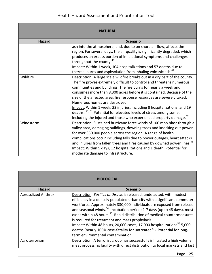|               | <b>NATURAL</b>                                                                                            |
|---------------|-----------------------------------------------------------------------------------------------------------|
| <b>Hazard</b> | <b>Scenario</b>                                                                                           |
|               | ash into the atmosphere, and, due to on shore air flow, affects the                                       |
|               | region. For several days, the air quality is significantly degraded, which                                |
|               | produces an excess burden of inhalational symptoms and challenges<br>throughout the county. <sup>48</sup> |
|               | Impact: Within 1 week, 104 hospitalizations and 57 deaths due to                                          |
|               | thermal burns and asphyxiation from inhaling volcanic ash. <sup>49</sup>                                  |
| Wildfire      | Description: A large scale wildfire breaks out in a dry part of the county.                               |
|               | The fire proves extremely difficult to control and threatens numerous                                     |
|               | communities and buildings. The fire burns for nearly a week and                                           |
|               | consumes more than 8,300 acres before it is contained. Because of the                                     |
|               | size of the affected area, fire response resources are severely taxed.                                    |
|               | Numerous homes are destroyed.                                                                             |
|               | Impact: Within 1 week, 22 injuries, including 8 hospitalizations, and 19                                  |
|               | deaths. <sup>50, 51</sup> Potential for elevated levels of stress among some,                             |
|               | including the injured and those who experienced property damage. <sup>52</sup>                            |
| Windstorm     | Description: Sustained hurricane force winds of 100 mph blast through a                                   |
|               | valley area, damaging buildings, downing trees and knocking out power                                     |
|               | for over 350,000 people across the region. A range of health                                              |
|               | complications occur including falls due to power outages, heart attacks                                   |
|               | and injuries from fallen trees and fires caused by downed power lines. <sup>53</sup>                      |
|               | Impact: Within 5 days, 12 hospitalizations and 1 death. Potential for                                     |
|               | moderate damage to infrastructure.                                                                        |

| <b>BIOLOGICAL</b>          |                                                                                                                                                                                                                                                                                                                                                                                                                                                                                                                                                                                                                                                                              |
|----------------------------|------------------------------------------------------------------------------------------------------------------------------------------------------------------------------------------------------------------------------------------------------------------------------------------------------------------------------------------------------------------------------------------------------------------------------------------------------------------------------------------------------------------------------------------------------------------------------------------------------------------------------------------------------------------------------|
| <b>Hazard</b>              | <b>Scenario</b>                                                                                                                                                                                                                                                                                                                                                                                                                                                                                                                                                                                                                                                              |
| <b>Aerosolized Anthrax</b> | Description: Bacillus anthracis is released, undetected, with modest<br>efficiency in a densely populated urban city with a significant commuter<br>workforce. Approximately 330,000 individuals are exposed from release<br>and seasonal winds. <sup>54</sup> Incubation period: 1-7 days (up to 48 days), most<br>cases within 48 hours. <sup>55</sup> Rapid distribution of medical countermeasures<br>is required for treatment and mass prophylaxis.<br>Impact: Within 48 hours, 20,000 cases, 17,000 hospitalizations <sup>56</sup> 5,000<br>deaths (nearly 100% case-fatality for untreated <sup>57</sup> ). Potential for long-<br>term environmental contamination. |
| Agroterrorism              | Description: A terrorist group has successfully infiltrated a high volume                                                                                                                                                                                                                                                                                                                                                                                                                                                                                                                                                                                                    |
|                            | meat processing facility with direct distribution to local markets and fast                                                                                                                                                                                                                                                                                                                                                                                                                                                                                                                                                                                                  |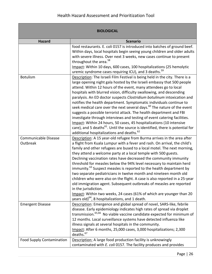<span id="page-27-0"></span>

|                                  | <b>BIOLOGICAL</b>                                                                                                                               |
|----------------------------------|-------------------------------------------------------------------------------------------------------------------------------------------------|
| <b>Hazard</b>                    | <b>Scenario</b>                                                                                                                                 |
|                                  | food restaurants. E. coli 0157 is introduced into batches of ground beef.                                                                       |
|                                  | Within days, local hospitals begin seeing young children and older adults                                                                       |
|                                  | with severe illness. Over next 3 weeks, new cases continue to present                                                                           |
|                                  | throughout the area. <sup>58</sup>                                                                                                              |
|                                  | Impact: Within 10 days, 600 cases, 100 hospitalizations (25 hemolytic                                                                           |
|                                  | uremic syndrome cases requiring ICU), and 3 deaths. <sup>59</sup>                                                                               |
| <b>Botulism</b>                  | Description: The Israeli Film Festival is being held in the city. There is a                                                                    |
|                                  | large opening night gala hosted by the Israeli embassy that 500 people                                                                          |
|                                  | attend. Within 12 hours of the event, many attendees go to local                                                                                |
|                                  | hospitals with blurred vision, difficulty swallowing, and descending<br>paralysis. An ED doctor suspects Clostridium botulinum intoxication and |
|                                  | notifies the health department. Symptomatic individuals continue to                                                                             |
|                                  | seek medical care over the next several days. <sup>60</sup> The nature of the event                                                             |
|                                  | suggests a possible terrorist attack. The health department and FBI                                                                             |
|                                  | investigate through interviews and testing of event catering facilities.                                                                        |
|                                  | Impact: Within 24 hours, 50 cases, 45 hospitalizations (10 intensive                                                                            |
|                                  | care), and 5 deaths <sup>61</sup> . Until the source is identified, there is potential for                                                      |
|                                  | additional hospitalizations and deaths. <sup>62</sup>                                                                                           |
| Communicable Disease             | Description: A 15 year-old refugee from Burma arrives in the area after                                                                         |
| Outbreak                         | a flight from Kuala Lumpur with a fever and rash. On arrival, the child's                                                                       |
|                                  | family and other refugees are bused to a local motel. The next morning,                                                                         |
|                                  | they attend a welcome party at a local temple with 500 guests.                                                                                  |
|                                  | Declining vaccination rates have decreased the community immunity                                                                               |
|                                  | threshold for measles below the 94% level necessary to maintain herd                                                                            |
|                                  | immunity. <sup>63</sup> Suspect measles is reported to the health department by                                                                 |
|                                  | two separate pediatricians in twelve month and nineteen month old                                                                               |
|                                  | children who were also on the flight. A case is also reported in a 25-year                                                                      |
|                                  | old immigration agent. Subsequent outbreaks of measles are reported                                                                             |
|                                  | in the jurisdiction.<br>Impact: Within two weeks, 24 cases (61% of which are younger than 20                                                    |
|                                  | years old) $^{64}$ , 8 hospitalizations, and 1 death.                                                                                           |
| <b>Emergent Disease</b>          | Description: Emergence and global spread of novel, SARS-like, febrile                                                                           |
|                                  | disease. Early epidemiology indicates high rates of spread via droplet                                                                          |
|                                  | transmission. <sup>65,66</sup> No viable vaccine candidate expected for minimum of                                                              |
|                                  | 12 months. Local surveillance systems have detected influenza like                                                                              |
|                                  | illness signals at several hospitals in the community.                                                                                          |
|                                  | Impact: After 6 months, 25,000 cases, 3,000 hospitalizations; 2,300<br>deaths. <sup>67</sup>                                                    |
| <b>Food Supply Contamination</b> | Description: A large food production facility is unknowingly                                                                                    |
|                                  | contaminated with E. coli 0157. The facility produces and provides                                                                              |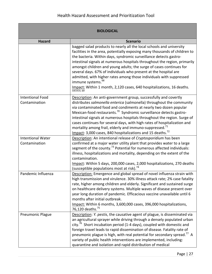| <b>BIOLOGICAL</b>                         |                                                                                                                                                                                                                                                                                                                                                                                                                                                                                                                                                                                                                                               |
|-------------------------------------------|-----------------------------------------------------------------------------------------------------------------------------------------------------------------------------------------------------------------------------------------------------------------------------------------------------------------------------------------------------------------------------------------------------------------------------------------------------------------------------------------------------------------------------------------------------------------------------------------------------------------------------------------------|
| <b>Hazard</b>                             | <b>Scenario</b>                                                                                                                                                                                                                                                                                                                                                                                                                                                                                                                                                                                                                               |
|                                           | bagged salad products to nearly all the local schools and university<br>facilities in the area, potentially exposing many thousands of children to<br>the bacteria. Within days, syndromic surveillance detects gastro-<br>intestinal signals at numerous hospitals throughout the region, primarily<br>amongst children and young adults; the surge of cases continues for<br>several days. 67% of individuals who present at the hospital are<br>admitted, with higher rates among those individuals with suppressed<br>immune systems. <sup>68</sup><br>Impact: Within 1 month, 2,120 cases, 640 hospitalizations, 16 deaths.<br>595959,69 |
| <b>Intentional Food</b><br>Contamination  | Description: An anti-government group, successfully and covertly<br>distributes salmonella enterica (salmonella) throughout the community<br>via contaminated food and condiments at nearly two dozen popular<br>Mexican-food restaurants. <sup>70</sup> Syndromic surveillance detects gastro-<br>intestinal signals at numerous hospitals throughout the region. Surge of<br>cases continues for several days, with high rates of hospitalization and<br>mortality among frail, elderly and immuno-suppressed. <sup>71</sup><br>Impact: 3,000 cases, 840 hospitalizations and 15 deaths. <sup>72</sup>                                      |
| <b>Intentional Water</b><br>Contamination | Description: An intentional release of Cryptosporidium has been<br>confirmed at a major water utility plant that provides water to a large<br>segment of the county. <sup>73</sup> Potential for numerous affected individuals:<br>illness, hospitalizations and mortality, depending on the extent of the<br>contamination.<br>Impact: Within 5 days, 200,000 cases, 2,000 hospitalizations, 270 deaths<br>(susceptible populations most at risk). <sup>74</sup>                                                                                                                                                                             |
| Pandemic Influenza                        | Description: Emergence and global spread of novel influenza strain with<br>high transmission and virulence. 30% illness attack rate; 2% case fatality<br>rate, higher among children and elderly. Significant and sustained surge<br>on healthcare delivery systems. Multiple waves of disease present over<br>year long duration of pandemic. Efficacious vaccine unavailable until 6<br>months after initial outbreak.<br>Impact: Within 6 months, 3,600,000 cases, 396,000 hospitalizations,<br>76,120 deaths. <sup>75</sup>                                                                                                               |
| <b>Pneumonic Plague</b>                   | Description: Y. pestis, the causative agent of plague, is disseminated via<br>an agricultural sprayer while driving through a densely populated urban<br>city. <sup><math>b</math></sup> Short incubation period (1-4 days), coupled with domestic and<br>foreign travel leads to rapid dissemination of disease. Fatality rate of<br>pneumonic plague is high, with real potential for secondary spread." A<br>variety of public health interventions are implemented, including:<br>quarantine and isolation and rapid distribution of medical                                                                                              |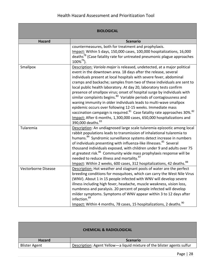| <b>BIOLOGICAL</b>   |                                                                                                                                                                                                                                                                                                                                                                                                                                                                                                                                                                                                                                                                                                                                                                                                                                                                        |
|---------------------|------------------------------------------------------------------------------------------------------------------------------------------------------------------------------------------------------------------------------------------------------------------------------------------------------------------------------------------------------------------------------------------------------------------------------------------------------------------------------------------------------------------------------------------------------------------------------------------------------------------------------------------------------------------------------------------------------------------------------------------------------------------------------------------------------------------------------------------------------------------------|
| <b>Hazard</b>       | <b>Scenario</b>                                                                                                                                                                                                                                                                                                                                                                                                                                                                                                                                                                                                                                                                                                                                                                                                                                                        |
|                     | countermeasures, both for treatment and prophylaxis.<br>Impact: Within 5 days, 150,000 cases, 100,000 hospitalizations, 16,000<br>deaths <sup>78</sup> (Case fatality rate for untreated pneumonic plague approaches<br>$100\%^{79}$ ).                                                                                                                                                                                                                                                                                                                                                                                                                                                                                                                                                                                                                                |
| Smallpox            | Description: Variola major is released, undetected, at a major political<br>event in the downtown area. 18 days after the release, several<br>individuals present at local hospitals with severe fever, abdominal<br>cramps and backache; samples from two of these individuals are sent to<br>local public health laboratory. At day 20, laboratory tests confirm<br>presence of smallpox virus; onset of hospital surge by individuals with<br>similar complaints begins. <sup>80</sup> Variable periods of contagiousness and<br>waning immunity in older individuals leads to multi-wave smallpox<br>epidemic occurs over following 12-15 weeks. Immediate mass<br>vaccination campaign is required. <sup>81</sup> Case fatality rate approaches 30%. <sup>82</sup><br>Impact: After 6 months, 1,300,000 cases, 650,000 hospitalizations and<br>390,000 deaths. 83 |
| Tularemia           | Description: An undiagnosed large scale tularemia epizootic among local<br>rabbit populations leads to transmission of inhalational tularemia to<br>humans. <sup>84</sup> Syndromic surveillance systems detect increase in numbers<br>of individuals presenting with influenza-like illnesses. <sup>85</sup> Several<br>thousand individuals exposed, with children under 9 and adults over 75<br>at greatest risk. <sup>86</sup> Community wide mass prophylaxis response will be<br>needed to reduce illness and mortality. <sup>87</sup><br>Impact: Within 2 weeks, 600 cases, 312 hospitalizations, 42 deaths. <sup>88</sup>                                                                                                                                                                                                                                      |
| Vectorborne Disease | Description: Hot weather and stagnant pools of water are the perfect<br>breeding conditions for mosquitoes, which can carry the West Nile Virus<br>(WNV). About 1 in 15 people infected with WNV will develop severe<br>illness including high fever, headache, muscle weakness, vision loss,<br>numbness and paralysis. 20 percent of people infected will develop<br>milder symptoms. Symptoms of WNV appear within 3 to 12 days after<br>infection. <sup>89</sup><br>Impact: Within 4 months, 78 cases, 15 hospitalizations, 2 deaths. <sup>90</sup>                                                                                                                                                                                                                                                                                                                |

| <b>CHEMICAL &amp; RADIOLOGICAL</b> |                                                                           |
|------------------------------------|---------------------------------------------------------------------------|
| <b>Hazard</b>                      | <b>Scenario</b>                                                           |
| <b>Blister Agent</b>               | Description: Agent Yellow - a liquid mixture of the blister agents sulfur |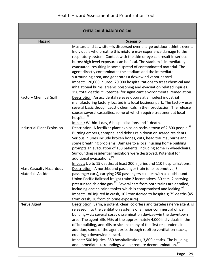|                                                             | <b>CHEMICAL &amp; RADIOLOGICAL</b>                                                                                                                                                                                                                                                                                                                                                                                                                                                                                                                                                                                                                                                                                                     |
|-------------------------------------------------------------|----------------------------------------------------------------------------------------------------------------------------------------------------------------------------------------------------------------------------------------------------------------------------------------------------------------------------------------------------------------------------------------------------------------------------------------------------------------------------------------------------------------------------------------------------------------------------------------------------------------------------------------------------------------------------------------------------------------------------------------|
| <b>Hazard</b>                                               | <b>Scenario</b>                                                                                                                                                                                                                                                                                                                                                                                                                                                                                                                                                                                                                                                                                                                        |
|                                                             | Mustard and Lewisite-is dispersed over a large outdoor athletic event.<br>Individuals who breathe this mixture may experience damage to the<br>respiratory system. Contact with the skin or eye can result in serious<br>burns; high level exposure can be fatal. The stadium is immediately<br>evacuated, resulting in some spread of contaminated material. The<br>agent directly contaminates the stadium and the immediate<br>surrounding area, and generates a downwind vapor hazard.<br>Impact: 120,000 injured, 70,000 hospitalizations to treat chemical and<br>inhalational burns, arsenic poisoning and evacuation related injuries.<br>150 total deaths. <sup>91</sup> Potential for significant environmental remediation. |
| <b>Factory Chemical Spill</b>                               | Description: An accidental release occurs at a modest industrial<br>manufacturing factory located in a local business park. The factory uses<br>several basic though caustic chemicals in their production. The release<br>causes several casualties, some of which require treatment at local<br>hospital. <sup>92</sup><br>Impact: Within 1 day, 6 hospitalizations and 1 death.                                                                                                                                                                                                                                                                                                                                                     |
| <b>Industrial Plant Explosion</b>                           | Description: A fertilizer plant explosion rocks a town of 2,800 people. <sup>93</sup><br>Burning embers, shrapnel and debris rain down on scared residents.<br>Serious injuries include broken bones, cuts, head trauma, burns and<br>some breathing problems. Damage to a local nursing home building<br>prompts an evacuation of 133 patients, including some in wheelchairs.<br>Surrounding residential neighbors were destroyed. Potential for<br>additional evacuations. <sup>94</sup><br>Impact: Up to 15 deaths; at least 200 injuries and 110 hospitalizations.                                                                                                                                                                |
| <b>Mass Casualty Hazardous</b><br><b>Materials Accident</b> | Description: A northbound passenger train (one locomotive, 3<br>passenger cars), carrying 250 passengers collides with a southbound<br>Union Pacific Railroad freight train: 2 locomotives, 30 cars, 2 carrying<br>pressurized chlorine gas. <sup>95</sup> Several cars from both trains are derailed,<br>including one chlorine tanker which is compromised and leaking. <sup>96</sup><br>Impact: 180 injured in crash, 102 transferred to hospitals; 75 deaths (45<br>from crash, 30 from chlorine exposure).                                                                                                                                                                                                                        |
| Nerve Agent                                                 | Description: Sarin, a potent, clear, colorless and tasteless nerve agent, is<br>released into the ventilation systems of a major commercial office<br>building-via several spray dissemination devices-in the downtown<br>area. The agent kills 95% of the approximately 4,000 individuals in the<br>office building, and kills or sickens many of the first responders. In<br>addition, some of the agent exits through rooftop ventilation stacks,<br>creating a downwind hazard.<br>Impact: 500 injuries, 350 hospitalizations, 3,800 deaths. The building<br>and immediate surroundings will be require decontamination. <sup>97</sup>                                                                                             |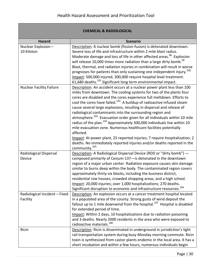#### **CHEMICAL & RADIOLOGICAL Hazard Scenario** Nuclear Explosion – 10 Kiloton Description: A nuclear bomb (fission-fusion) is detonated downtown. Severe loss of life and infrastructure within 2 mile blast radius. Moderate damage and loss of life in other affected areas.<sup>98</sup> Explosion will release 10,000 times more radiation than a large dirty bomb.<sup>99</sup> Blast, thermal, and radiation injuries in combination will result in worse prognoses for patients than only sustaining one independent injury.<sup>100</sup> Impact: 500,000 injured, 300,000 require hospital level treatment. 61,680 deaths. $^{101}$  Significant long term environmental impact. Nuclear Facility Failure  $\vert$  Description: An accident occurs at a nuclear power plant less than 100 miles from downtown. The cooling systems for two of the plants four cores are disabled and the cores experience full meltdown. Efforts to cool the cores have failed.<sup>102</sup> A buildup of radioactive infused steam cause several large explosions, resulting in dispersal and release of radiological contaminants into the surrounding region and atmosphere.<sup>103</sup> Evacuation order given for all individuals within 10 mile radius of the plan.<sup>104</sup> Approximately 300,000 individuals live within 10 mile evacuation zone. Numerous healthcare facilities potentially affected. Impact: At power plant, 25 reported injuries; 7 require hospitalization; 2 deaths. No immediately reported injuries and/or deaths reported in the community.<sup>105</sup> Radiological Dispersal Device Description: A Radiological Dispersal Device (RDD or "dirty bomb") composed primarily of Cesium-137—is detonated in the downtown region of a major urban center. Radiation exposure causes skin damage similar to burns deep within the body. The contaminated region covers approximately thirty-six blocks, including the business district, residential row houses, crowded shopping areas, and a high school. Impact: 20,000 injuries; over 1,000 hospitalizations; 270 deaths. Significant disruption to economic and infrastructure resources.<sup>106</sup> Radiological Incident – Fixed Facility Description: An explosion occurs at a cancer treatment hospital located in a populated area of the county. Strong gusts of wind deposit the fallout up to 1 mile downwind from the hospital.<sup>107</sup> Hospital is disabled for extended period of time. Impact: Within 2 days, 10 hospitalizations due to radiation poisoning and 3 deaths. Nearly 2000 residents in the area who were exposed to radioactive materials.<sup>108</sup> Ricin Description: Ricin is disseminated in underground in jurisdiction's light rail transportation system during busy Monday morning commute. Ricin toxin is synthesized from castor plants endemic in the local area. It has a short incubation and within a few hours, numerous individuals begin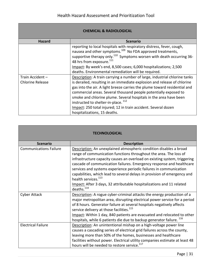|                         | <b>CHEMICAL &amp; RADIOLOGICAL</b>                                                                                                                                                                                                                                                                                                                                                                                 |
|-------------------------|--------------------------------------------------------------------------------------------------------------------------------------------------------------------------------------------------------------------------------------------------------------------------------------------------------------------------------------------------------------------------------------------------------------------|
| <b>Hazard</b>           | <b>Scenario</b>                                                                                                                                                                                                                                                                                                                                                                                                    |
|                         | reporting to local hospitals with respiratory distress, fever, cough,<br>nausea and other symptoms. <sup>109</sup> No FDA approved treatments,                                                                                                                                                                                                                                                                     |
|                         | supportive therapy only. <sup>110</sup> Symptoms worsen with death occurring 36-<br>48 hrs from exposure. <sup>111</sup>                                                                                                                                                                                                                                                                                           |
|                         | Impact: By week's end, 8,500 cases; 6,000 hospitalizations; 2,500                                                                                                                                                                                                                                                                                                                                                  |
|                         | deaths. Environmental remediation will be required.                                                                                                                                                                                                                                                                                                                                                                |
| Train Accident -        | Description: A train carrying a number of large, industrial chlorine tanks                                                                                                                                                                                                                                                                                                                                         |
| <b>Chlorine Release</b> | is derailed, resulting in an immediate explosion and release of chlorine<br>gas into the air. A light breeze carries the plume toward residential and<br>commercial areas. Several thousand people potentially exposed to<br>smoke and chlorine plume. Several hospitals in the area have been<br>instructed to shelter-in-place. <sup>112</sup><br>Impact: 250 total injured; 12 in train accident. Several dozen |
|                         | hospitalizations, 15 deaths.                                                                                                                                                                                                                                                                                                                                                                                       |

|                               | TECHNOLOGICAL                                                                                                                                                                                                                                                                                                                                                                                                                                                                                                                                              |
|-------------------------------|------------------------------------------------------------------------------------------------------------------------------------------------------------------------------------------------------------------------------------------------------------------------------------------------------------------------------------------------------------------------------------------------------------------------------------------------------------------------------------------------------------------------------------------------------------|
| <b>Scenario</b>               | <b>Description</b>                                                                                                                                                                                                                                                                                                                                                                                                                                                                                                                                         |
| <b>Communications Failure</b> | Description: An unexplained atmospheric condition disables a broad<br>range of communication functions throughout the area. The loss of<br>infrastructure capacity causes an overload on existing system, triggering<br>cascade of communication failures. Emergency response and healthcare<br>services and systems experience periodic failures in communication<br>capabilities, which lead to several delays in provision of emergency and<br>health services. <sup>113</sup><br>Impact: After 3 days, 32 attributable hospitalizations and 11 related |
| <b>Cyber Attack</b>           | deaths. <sup>114</sup><br>Description: A rogue cyber-criminal attacks the energy production of a<br>major metropolitan area, disrupting electrical power service for a period<br>of 8 hours. Generator failure at several hospitals negatively affects<br>service delivery at those facilities. <sup>115</sup><br>Impact: Within 1 day, 840 patients are evacuated and relocated to other<br>hospitals, while 6 patients die due to backup generator failure. <sup>116</sup>                                                                               |
| <b>Electrical Failure</b>     | Description: An unintentional mishap on a high-voltage power line<br>causes a cascading series of electrical grid failures across the county,<br>leaving more than 50% of the homes, businesses and healthcare<br>facilities without power. Electrical utility companies estimate at least 48<br>hours will be needed to restore service. <sup>117</sup>                                                                                                                                                                                                   |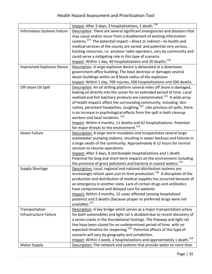|                                    | Impact: After 2 days, 3 hospitalizations, 1 death. <sup>118</sup>                      |
|------------------------------------|----------------------------------------------------------------------------------------|
| <b>Information Systems Failure</b> | Description: There are several significant emergencies and disasters that              |
|                                    | may cause and/or occur from a disablement of existing information                      |
|                                    | systems. <sup>119</sup> The potential impact-direct or indirect-to health and          |
|                                    | medical services of the county are varied, and potential very serious.                 |
|                                    | Existing resources, i.e. amateur radio operators, vary by community and                |
|                                    | could serve a mitigating role in this type of scenario.                                |
|                                    | Impact: Within 1 day, 40 hospitalizations and 30 deaths. <sup>120</sup>                |
| <b>Improvised Explosive Device</b> | Description: A large explosive device is detonated at a downtown                       |
|                                    | government office building. The blast destroys or damages several                      |
|                                    | dozen buildings within an 8 block radius of the explosion.                             |
|                                    | Impact: Within 1 day, 700 injuries, 500 hospitalizations and 200 deaths.               |
| Off-shore Oil Spill                | Description: An oil drilling platform several miles off shore is damaged,              |
|                                    | leaking oil directly into the ocean for an extended period of time. Local              |
|                                    | seafood and fish hatchery products are contaminated. <sup>121</sup> A wide array       |
|                                    | of health impacts affect the surrounding community, including: skin                    |
|                                    | rashes, persistent headaches, coughing. <sup>122</sup> Like previous oil spills, there |
|                                    | is an increase in psychological effects from the spill in both cleanup                 |
|                                    | workers and local residents. <sup>123</sup>                                            |
|                                    | Impact: Within 4 months, 11 deaths and 62 hospitalizations. Potential                  |
|                                    | for major threats to the environment. <sup>124</sup>                                   |
| Sewer Failure                      | Description: A large storm inundates and incapacitates several large                   |
|                                    | wastewater pumping stations, resulting in sewer backups and failures in                |
|                                    | a large swath of the community. Approximately 8-12 hours for normal                    |
|                                    | services to resume operations.                                                         |
|                                    | Impact: After 3 days, 8 attributable hospitalizations and 1 death.                     |
|                                    | Potential for long and short-term impacts on the environment including                 |
|                                    | the presence of gross pollutants and bacteria in coastal waters. <sup>125</sup>        |
| <b>Supply Shortage</b>             | Description: Local, regional and national distribution systems are                     |
|                                    | increasingly reliant upon just-in-time production. <sup>126</sup> A disruption of the  |
|                                    | production and distribution of medical supplies has occurred because of                |
|                                    | an emergency in another state. Lack of certain drugs and antibiotics                   |
|                                    | have compromised and delayed care for patients.                                        |
|                                    | Impact: Within 3 months, 15 cases affected (among hospitalized                         |
|                                    | patients) and 5 deaths (because proper or preferred drugs were not                     |
|                                    | available). <sup>127</sup>                                                             |
| Transportation                     | Description: A key bridge which serves as a major transportation artery                |
| Infrastructure Failure             | for both automobiles and light rail is disabled due to recent discovery of             |
|                                    | a series cracks in the foundational footings. The freeway and light rail               |
|                                    | line have been closed for an undetermined period of time, with no                      |
|                                    | expected timeline for reopening. <sup>128</sup> Potential effects of this type of      |
|                                    | scenario will vary by geography and jurisdiction.                                      |
|                                    | Impact: Within 1 week, 2 hospitalizations and approximately 1 death. <sup>129</sup>    |
| <b>Water Supply</b>                | Description: The network and systems that provide water to more than                   |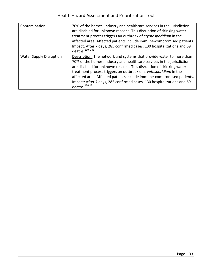<span id="page-34-1"></span><span id="page-34-0"></span>

| Contamination                  | 70% of the homes, industry and healthcare services in the jurisdiction<br>are disabled for unknown reasons. This disruption of drinking water<br>treatment process triggers an outbreak of cryptosporidium in the<br>affected area. Affected patients include immune-compromised patients.<br>Impact: After 7 days, 285 confirmed cases, 130 hospitalizations and 69<br>deaths. <sup>130, 131</sup>                                                                  |
|--------------------------------|----------------------------------------------------------------------------------------------------------------------------------------------------------------------------------------------------------------------------------------------------------------------------------------------------------------------------------------------------------------------------------------------------------------------------------------------------------------------|
| <b>Water Supply Disruption</b> | Description: The network and systems that provide water to more than<br>70% of the homes, industry and healthcare services in the jurisdiction<br>are disabled for unknown reasons. This disruption of drinking water<br>treatment process triggers an outbreak of cryptosporidium in the<br>affected area. Affected patients include immune-compromised patients.<br>Impact: After 7 days, 285 confirmed cases, 130 hospitalizations and 69<br>deaths. $^{130,131}$ |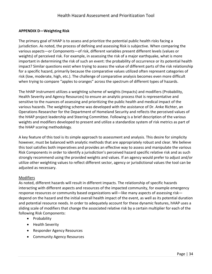## **APPENDIX D—Weighting Risk**

The primary goal of hHAP is to assess and prioritize the potential public health risks facing a jurisdiction. As noted, the process of defining and assessing Risk is subjective. When comparing the various aspects—or Components—of risk, different variables present different levels (values or weights) of perceived risk. For example, in assessing the risk of a major earthquake, what is more important in determining the risk of such an event: the probability of occurrence or its potential health impact? Similar questions exist when trying to assess the value of different parts of the risk relationship for a specific hazard, primarily because the comparative values utilized often represent categories of risk (low, moderate, high, etc.). The challenge of comparative analysis becomes even more difficult when trying to compare "apples to oranges" across the spectrum of different types of hazards.

The hHAP instrument utilizes a weighting scheme of weights (Impacts) and modifiers (Probability, Health Severity and Agency Resources) to ensure an analytic process that is representative and sensitive to the nuances of assessing and prioritizing the public health and medical impact of the various hazards. The weighting scheme was developed with the assistance of Dr. Anke Richter, an Operations Researcher for the Department of Homeland Security and reflects the perceived values of the hHAP project leadership and Steering Committee. Following is a brief description of the various weights and modifiers developed to present and utilize a standardize system of risk metrics as part of the hHAP scoring methodology.

A key feature of this tool is its simple approach to assessment and analysis. This desire for simplicity however, must be balanced with analytic methods that are appropriately robust and clear. We believe this tool satisfies both imperatives and provides an effective way to assess and manipulate the various Risk Components in order to identify a jurisdiction's perceived hazard specific relative risk and as such strongly recommend using the provided weights and values. If an agency would prefer to adjust and/or utilize other weighting values to reflect different sector, agency or jurisdictional values the tool can be adjusted as necessary.

#### Modifiers

As noted, different hazards will result in different impacts. The relationship of specific hazards interacting with different aspects and resources of the impacted community, for example emergency response resources or community based organizations will—like many aspects of assessing risk depend on the hazard and the initial overall health impact of the event, as well as its potential duration and potential resource needs. In order to adequately account for these dynamic features, hHAP uses a sliding scale of modifiers that change the associated relative risk by a certain multiplier for each of the following Risk Components:

- Probability
- Health Severity
- Responder Agency Resources
- **•** Community Agency Resources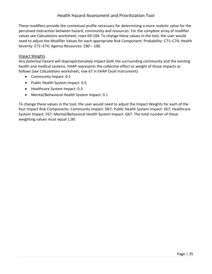These modifiers provide the contextual profile necessary for determining a more realistic value for the perceived interaction between hazard, community and resources. For the complete array of modifier values see *Calculations* worksheet, rows 69-104. To change these values in the tool, the user would need to adjust the Modifier Values for each appropriate Risk Component; Probability: C71–C74; Health Severity: E71–E74; Agency Resources: C80 – 100.

#### Impact Weights

Any potential hazard will disproportionately impact both the surrounding community and the existing health and medical systems. hHAP represents the collective effect or weight of those impacts as follows (see *Calculations* worksheet, row 67 in hHAP Excel Instrument):

- Community Impact: 0.1
- Public Health System Impact: 0.5
- Healthcare System Impact: 0.3
- Mental/Behavioral Health System Impact: 0.1

To change these values in the tool, the user would need to adjust the Impact Weights for each of the four Impact Risk Components: Community Impact: D67; Public Health System Impact: E67; Healthcare System Impact: F67; Mental/Behavioral Health System Impact: G67. The total number of these weighting values must equal 1.00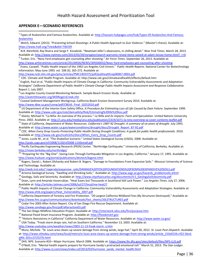#### **APPENDIX E—SCENARIO REFERENCES**

 $\overline{a}$ 

<sup>1</sup> Types of Avalanches and Famous Avalanches. Available at[: http://hassam.hubpages.com/hub/Types-Of-Avalanches-And-Famous-](http://hassam.hubpages.com/hub/Types-Of-Avalanches-And-Famous-Avalanches)[Avalanches](http://hassam.hubpages.com/hub/Types-Of-Avalanches-And-Famous-Avalanches) <sup>2</sup> Welch, Edward. (2013). "Preventing School Shootings: A Public Health Approach to Gun Violence." (Master's thesis). Available at:

<https://www.hsdl.org/?view&did=736339> 3 [N.R. Kleinfield,](http://topics.nytimes.com/top/reference/timestopics/people/k/n_r_kleinfield/index.html) [Ray Rivera](http://topics.nytimes.com/top/reference/timestopics/people/r/ray_rivera/index.html) an[d Serge F. Kovaleski](http://topics.nytimes.com/top/reference/timestopics/people/k/serge_f_kovaleski/index.html). "Newtown killer's obsessions, in chilling detail." *New Yrok Times.* March 28, 2013.

Available at: http://www.nytimes.com/2013/03/29/nyregion/search-warrants-reveal-items-seized-at-adam-lanzas-home.html? r=0 4 Tucker, Eric. "Navy Yard employees get counseling after shooting." *Air Force Times.* September 26, 2013. Available at:

<http://www.airforcetimes.com/article/20130926/NEWS/309260032/Navy-Yard-employees-get-counseling-after-shooting>

5 Evans, Caswell. "Public Health Impact of the 1992 Los Angeles Civil Unrest." *Public Health Reports*. National Center for Biotechnology Information. May-June 1993. vol. 108 (3). 265-272. Available at:

<http://www.ncbi.nlm.nih.gov/pmc/articles/PMC1403375/pdf/pubhealthrep00067-0003.pdf>

6 CDC. Climate and Health Program. Available at: http://www.cdc.gov/climateandhealth/effects/default.htm

 $^7$  English, Paul et al. "Public Health Impacts of Climate Change in California: Community Vulnerability Assessments and Adaptation Strategies" *California Department of Public Health's Climate Change Public Health Impacts Assessment and Response Collaborative.* Report 1. July 2007.

 $^8$  Los Angeles County Coastal Monitoring Network. Sample Beach Erosion Study. Available at:

<http://watchthewater.org/WillRogersCreek.cfm>

9 Coastal Sediment Management Workgroup. California Beach Erosion Assessment Survey 2010. Available at: [http://www.dbw.ca.gov/csmw/pdf/CBEAS\\_Final\\_10252010.pdf](http://www.dbw.ca.gov/csmw/pdf/CBEAS_Final_10252010.pdf)

<sup>10</sup> US Department of the Interior-Dam Safety Office. A Procedure for Estimating Loss of Life Caused by Dam Failure. September 1999. Available at[: http://www.usbr.gov/ssle/damsafety/Risk/Estimating%20life%20loss.pdf](http://www.usbr.gov/ssle/damsafety/Risk/Estimating%20life%20loss.pdf)

<sup>11</sup> Glantz, Michael H. "La Niña: An overview of the process." La Niña and its impacts: Facts and Speculation. United Nations University Press. 2002. Available at[: http://i.unu.edu/media/unu.edu/publication/2319/1071-la-nina-overview-w-cover-contents-leaflet.pdf](http://i.unu.edu/media/unu.edu/publication/2319/1071-la-nina-overview-w-cover-contents-leaflet.pdf)

<sup>12</sup> State of California, Department of Water Resources. *California's 1987-92 Drought: A summary of six years of drought.* July 1993. Available at[: http://www.water.ca.gov/waterconditions/drought/docs/Drought\\_Report\\_87-92.pdf](http://www.water.ca.gov/waterconditions/drought/docs/Drought_Report_87-92.pdf)

<sup>13</sup> CDC. When Every Drop Counts-Protecting Public Health During Drought Conditions: A guide for public health professionals. 2010. Available at[: http://www.cdc.gov/nceh/ehs/Docs/When\\_Every\\_Drop\\_Counts.pdf](http://www.cdc.gov/nceh/ehs/Docs/When_Every_Drop_Counts.pdf)

<sup>14</sup> Jones, Lucile M., et al. "The ShakeOut Scenario." United States Geological Survey (USGS). 2008. Available at: <http://pubs.usgs.gov/of/2008/1150/of2008-1150small.pdf>

<sup>15</sup> Pacific Earthquake Engineering Research (PEER) Center. "Northridge Earthquake." University of California, Berkeley. Available at: <http://nisee.berkeley.edu/northridge/>

<sup>16</sup> "Preparing for the "Big-One": Saving Lives Through Earthquake Mitigation in Los Angeles, California." January 17, 1995. Available at: <http://www.huduser.org/portal/publications/destech/bigone.html>

<sup>17</sup> Rogers, David J., Robert Olshanky and Robert B. Rogers. "Damage to Foundations From Expansive Soils." Missouri University of Science and Technology. Available at:

[http://web.mst.edu/~rogersda/expansive\\_soils/DAMAGE%20TO%20FOUNDATIONS%20FROM%20EXPANSIVE%20SOILS.pdf](http://web.mst.edu/~rogersda/expansive_soils/DAMAGE%20TO%20FOUNDATIONS%20FROM%20EXPANSIVE%20SOILS.pdf)

18 Arizona Geological Survey. "Swelling and Shrinking Soils," Available at: [http://www.azgs.az.gov/hazards\\_problemsoils.shtml](http://www.azgs.az.gov/hazards_problemsoils.shtml)

<sup>19</sup> Geology, Soils and Seismicity. Available at: [http://www.cityofsancarlos.org/documents/4.5\\_GeologySoilsSeismicity.pdf](http://www.cityofsancarlos.org/documents/4.5_GeologySoilsSeismicity.pdf)

<sup>20</sup> Doan, Lynn and Amanda Vovarrubias. "Heat Eases but Thousands in Southland Still Lack Power." *Los Angeles Times*. July 27, 2006. Available at[: http://articles.latimes.com/2006/jul/27/local/me-heat27](http://articles.latimes.com/2006/jul/27/local/me-heat27)

<sup>21</sup> Public Health Impacts of Climate Change in California: Community Vulnerability Assessments and Adaptation Strategies. Available at: [http://www.ehib.org/papers/Heat\\_Vulnerability\\_2007.pdf](http://www.ehib.org/papers/Heat_Vulnerability_2007.pdf)

 $^{22}$  California Department of Forestry and Fire Protection. "20 Largest California Wildland Fires (By Structures Destroyed)." Available at: [http://www.fire.ca.gov/communications/downloads/fact\\_sheets/20LSTRUCTURES.pdf](http://www.fire.ca.gov/communications/downloads/fact_sheets/20LSTRUCTURES.pdf)

 $^{23}$  Cedar Fire 2003 After Action Report. City of San Diego Fire-Rescue Department. Available at: <http://www.sandiego.gov/fire/pdf/afteraction03.pdf>

<sup>24</sup> The San Diego Wildfires Education Project. Available at:<http://interwork.sdsu.edu/fire/purpose.htm>

<sup>25</sup> National Flood Smart Insurance Program. Available at[: http://floodsmart.gov](http://floodsmart.gov/)

<sup>26</sup> "Historic Rainstorms in California" California Department of Water Resources. Available at: <http://www.water.ca.gov/>

<sup>27</sup> USA Today. "Freak storm drops rain, hail on Southern California." November 13, 2003. Available at:

[http://www.usatoday.com/weather/news/2003-11-13-freak-storm\\_x.htm](http://www.usatoday.com/weather/news/2003-11-13-freak-storm_x.htm)

<sup>28</sup> Munz, Michele. "St. Louis area cleans up severe damage from strong winds, large hail." April 30, 2012. *St. Louis Post-Dispatch*. Available at: [http://www.stltoday.com/news/local/metro/st-louis-area-cleans-up-severe-damage-from-strong-winds/article\\_153e0156-cf22-5bcd](http://www.stltoday.com/news/local/metro/st-louis-area-cleans-up-severe-damage-from-strong-winds/article_153e0156-cf22-5bcd-a90c-201cc372527b.html)[a90c-201cc372527b.html](http://www.stltoday.com/news/local/metro/st-louis-area-cleans-up-severe-damage-from-strong-winds/article_153e0156-cf22-5bcd-a90c-201cc372527b.html)

<sup>29</sup> DHS. NPS. Scenario #10—Major Hurricane. March 2006. Available at: <u>https://www.llis.dhs.gov/sites/default/files/NPS-LLIS.pdf</u>

<sup>30</sup> O'Neill, Erin. "Mental health experts prepare for Hurricane Sandy's protracted emotional toll." March 31, 2013. *The Star-Ledger.* Available at[: http://www.nj.com/news/index.ssf/2013/03/hurricane\\_sandy\\_mental\\_health.html](http://www.nj.com/news/index.ssf/2013/03/hurricane_sandy_mental_health.html)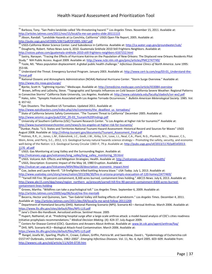| <sup>31</sup> Barboza, Tony. "San Pedro landslide called 'life-threatening hazard." Los Angeles Times. November 15, 2011. Available at:                     |
|-------------------------------------------------------------------------------------------------------------------------------------------------------------|
| http://articles.latimes.com/2011/nov/15/local/la-me-san-pedro-slide-20111115                                                                                |
| 32 Jibson, Randall. "Landslide Hazards at La Conchita, California" USGS Open File Report, 2005. Available at:                                               |
|                                                                                                                                                             |
| http://pubs.usgs.gov/of/2005/1067/pdf/OF2005-1067.pdf                                                                                                       |
| 33 USGS-California Water Science Center. Land Subsidence in California. Available at: http://ca.water.usgs.gov/groundwater/sub/                             |
| <sup>34</sup> Dougherty, Robert. Yahoo News June 6, 2010. Guatemala Sinkhole 2010 Still Frightens Neighbors. Available at:                                  |
| http://voices.yahoo.com/guatemala-sinkhole-2010-still-frightens-neighbors-6167152.html                                                                      |
| 35 Sastry, Narayan. "Tracing the Effects of Hurricane Katrina on the Population of New Orleans: The Displaced new Orleans Residents Pilot                   |
| Study." NIH Public Access. August 2009. Available at: http://www.ncbi.nlm.nih.gov/pmc/articles/PMC2747749/                                                  |
| <sup>36</sup> Toole, MJ. "Mass population displacement: A global public health challenge." Infectious Disease Clinics of North America. June 1995:          |
| 353-66.                                                                                                                                                     |
| <sup>37</sup> Understand the Threat. Emergency Survival Program. January 2003. Available at: http://www.cert-la.com/esp/03-01 Understand-the-               |
| Threat.pdf                                                                                                                                                  |
| <sup>38</sup> National Oceanic and Atmospheric Administration (NOAA)-National Hurricane Center. "Storm Surge Overview." Available at:                       |
| http://www.nhc.noaa.gov/surge/                                                                                                                              |
| Bjerke, Scott H. "Lightning Injuries." Medscape. Available at: http://emedicine.medscape.com/article/433084-overview                                        |
| Brown, Jeffrey and LaDochy, Steve. "Topographic and Synoptic Influences on Cold Season California Severe Weather: Regional Patterns                         |
| in Convective Storms" California State University, Los Angeles. Available at: http://www.calstatela.edu/faculty/sladoch/svr-wx2.pdf                         |
| <sup>41</sup> Hales, John. "Synoptic Features Associated with Los Angeles Tornado Occurrences." Bulletin American Meterological Society. 1985. Vol.         |
| $6:657-62.$                                                                                                                                                 |
| <sup>42</sup> Epic Disasters. The Deadliest US Tornadoes. Updated 2011. Available at:                                                                       |
| http://www.epicdisasters.com/index.php/site/comments/the deadliest us tornadoes/                                                                            |
|                                                                                                                                                             |
| 43 State of California Seismic Safety Commission. "The Tsunami Threat to California" December 2005. Available at:                                           |
| http://www.seismic.ca.gov/pub/CSSC 05-03 Tsunami%20Findings.pdf                                                                                             |
| <sup>44</sup> University of Southern California (USC) Tsunami Research Center. "Is Los Angeles at higher risk for tsunamis?" Available at:                  |
| http://www.tsunamiresearchcenter.com/news/is-los-angeles-at-higher-risk-for-tsunamis/                                                                       |
| <sup>45</sup> Dunbar, Paula. "U.S. States and Territories National Tsunami Hazard Assessment: Historical Record and Sources for Waves" USGS                 |
| August 2008. Available at: http://nthmp.tsunami.gov/documents/Tsunami Assessment Final.pdf                                                                  |
| <sup>46</sup> Holmes, R.R., Jr., Jones, L.M., Eidenshink, J.C., Godt, J.W., Kirby, S.H., Love, J.J., Neal, C.A., Plant, N.G., Plunkett, M.L., Weaver, C.S., |
| Wein, Anne, and Perry, S.C., 2012, U.S. Geological Survey natural hazards science strategy- Promoting the safety, security, and economic                    |
| well-being of the Nation: U.S. Geological Survey Circular 1383-F, 79 p. Available at: http://pubs.usgs.gov/of/2013/1170/pdf/of2013-                         |
| 1170 all.pdf                                                                                                                                                |
| 47 USGS. Gas Monitoring at Long Valley and the Surrounding Region. Available at:                                                                            |
| http://volcanoes.usgs.gov/volcanoes/long_valley/long_valley_monitoring_59.html                                                                              |
| <sup>48</sup> USGS. Volcanic Ash: Effects and Mitigation Strategies; Health. Available at: http://volcanoes.usgs.gov/ash/health/                            |
| <sup>49</sup> USGS, Description: Economic Impact of the May 18, 1980 Eruption. Available at:                                                                |
| http://vulcan.wr.usgs.gov/Volcanoes/MSH/May18/description economic impact.html                                                                              |
| <sup>50</sup> Coe, Jackee and Laurie Merrill. "19 firefighters killed battling Arizona blaze." USA Today. July 1, 2013. Available at:                       |
| http://www.usatoday.com/story/news/nation/2013/06/30/fire-in-arizona-prompts-evacuation-of-120-homes/2477469/                                               |
| <sup>51</sup> "Yarnell Hill Fire: 90 percent containment; 8,300 acres burned, containment lines holding." ABC15 News. July 6, 2013. Available at:           |
| http://www.abc15.com/dpp/news/region_northern_az/prescott/yarnell-hill-fire-90-percent-containment-8300-acres-burned-                                       |
| containment-lines-holding                                                                                                                                   |
|                                                                                                                                                             |
| $\frac{52}{52}$ Groves, Martha. "Wildfires can take a psychological toll." Los Angeles Times. September 6, 2009. Available at:                              |
| http://articles.latimes.com/2009/sep/06/local/me-fire-mental6                                                                                               |
| Becerra, Hector and Quinones, Sam. "San Gabriel Valley still feeling effects of windstorm." Los Angeles Times. December 4, 2011.                            |
| Available at: http://articles.latimes.com/2011/dec/04/local/la-me-wind-follow-20111204                                                                      |
| <sup>54</sup> Department of Homeland Security (DHS). National Planning Scenario (NPS). Scenario #2—Aerosal Anthrax. March 2006. Available at:               |
| https://www.llis.dhs.gov/sites/default/files/NPS-LLIS.pdf                                                                                                   |
| 55 Jane's Chem-Bio Handbook. Aersolized anthrax. Sentinel House. 2005                                                                                       |
| <sup>56</sup> Hupert, Nathaniel, et al. "Predicting hospital surge after a large-scale anthrax attack: a model-based analysis of CDC's cities readiness     |
| initiative prophylaxis recommendations." Medical Decision Making. (4): 424-37. July-August 2009.                                                            |
| <sup>57</sup> Centers for Disease Control (CDC). Questions and Answers About Anthrax. Available at: www.bt.cdc.gov/agent/anthrax/faq/                       |
| <sup>58</sup> DHS. NPS. Scenario #13-Biological Attack-Food Contamination. March 2006. Available at:                                                        |
| https://www.llis.dhs.gov/sites/default/files/NPS-LLIS.pdf                                                                                                   |
| 59<br>Rangel, Josefa M., Sparling, Phyllis H., Crowe, Colleen, Griffin, Patricia M. and Swerdlow, David L. "Epidemiology of Escherichia coli                |
| O157:H7 Outbreaks, United States, 1982-2002". Emerging Infectious Diseases. Vol. 11, No. 4, April 2005. 603-609. Available from:                            |
| http://wwwnc.cdc.gov/eid/article/11/4/04-0739.htm                                                                                                           |
|                                                                                                                                                             |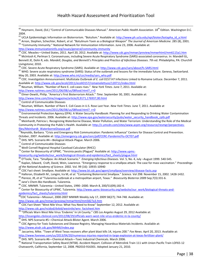<sup>60</sup> Heymann, David, (Ed.) "Control of Communicable Diseases Manual." *American Public Health Association*. 18<sup>th</sup> Edition. Washington D.C.

 $\overline{a}$ 

2004.

| <sup>61</sup> UCLA Epidemiologic Information on Bioterrorism. "Botulism." Available at: http://www.ph.ucla.edu/epi/bioter/botapha_id_a.html                                                                                            |
|----------------------------------------------------------------------------------------------------------------------------------------------------------------------------------------------------------------------------------------|
| <sup>62</sup> Arnon, Stephen, Schechter, Robert, et al. "Botulinum Toxin as a Biological Weapon" The Journal of American Medicine. 285 (8), 2001.                                                                                      |
| <sup>63</sup> "Community Immunity." National Network for Immunization Information. June 23, 2006. Available at:                                                                                                                        |
| http://www.immunizationinfo.org/issues/general/community-immunity                                                                                                                                                                      |
| <sup>64</sup> CDC. Measles—United States, 2011. April 20, 2012. Available at: http://www.cdc.gov/mmwr/preview/mmwrhtml/mm6115a1.htm                                                                                                    |
| <sup>65</sup> McIntosh K, Perlman S. Coronaviruses, including Severe Acute Respiratory Syndrome (SARS)-associated coronavirus. In: Mandell GL,                                                                                         |
| Bennett JE, Dolin R, eds. Mandell, Douglas, and Bennett's Principles and Practice of Infectious Diseases. 7th ed. Philadelphia, PA: Churchill                                                                                          |
| Livingstone; 2010.                                                                                                                                                                                                                     |
| <sup>66</sup> CDC. Severe Acute Respiratory Syndrome (SARS). Available at: http://www.cdc.gov/sars/about/fs-SARS.html                                                                                                                  |
| $^{67}$ WHO. Severe acute respiratory syndrome (SARS): Status of the outbreak and lessons for the immediate future. Geneva, Switzerland.                                                                                               |
| May 20, 2003. Available at: http://www.who.int/csr/media/sars_wha.pdf                                                                                                                                                                  |
| $^{68}$ CDC. Investigation Announcement: Multistate Outbreak of E. coli 0157:H7 Infections Linked to Romaine Lettuce. December 7, 2011.                                                                                                |
| Available at: http://www.cdc.gov/ecoli/2011/ecoliO157/romainelettuce/120711/index.html                                                                                                                                                 |
| <sup>69</sup> Neuman, William. "Number of Rare E. coli cases rises." New York Times. June 7, 2011. Available at:                                                                                                                       |
| http://www.nytimes.com/2011/06/08/us/08food.html? r=0                                                                                                                                                                                  |
| <sup>70</sup> Elmer-Dewitt, Philip. "America's First Bioterrorism Attack." Time. September 30, 2001. Available at:                                                                                                                     |
| http://www.time.com/time/magazine/article/0,9171,176937,00.html                                                                                                                                                                        |
| <sup>71</sup> Control of Communicable Diseases                                                                                                                                                                                         |
| <sup>72</sup> Neuman, William. Number of Rare E. Coli Cases in U.S. Rose Last Year. New York Times. June 7, 2011. Available at                                                                                                         |
| http://www.nytimes.com/2011/06/08/us/08food.html? r=0                                                                                                                                                                                  |
| <sup>73</sup> Environmental Protection Agency (EPA). A Water Security Handbook: Planning for and Responding to Drinking Water Contamination                                                                                            |
| Threats and Incidents. 2006. Available at: http://www.epa.gov/watersecurity/pubs/water security handbook rptb.pdf                                                                                                                      |
| <sup>74</sup> Meinhardt, Patricia L. Recognizing Waterborne Disease, Water Pollution, and Water Terrorism: Understanding the Role of the Medical                                                                                       |
| Community in Protecting the Public's Health. Available at: http://c.ymcdn.com/sites/www.acpm.org/resource/resmgr/perpectives-                                                                                                          |
| files/Meinhardt WaterborneDisease.pdf                                                                                                                                                                                                  |
| <sup>75</sup> Reynolds, Barbara. "Crisis and Emergency Risk Communication: Pandemic Influenza" Centers for Disease Control and Prevention.                                                                                             |
| October, 2007. Available at: http://emergency.cdc.gov/cerc/pdf/CERC-PandemicFlu-OCT07.pdf                                                                                                                                              |
| <sup>76</sup> DHS. NPS. Scenario #4—Biological Attack-Plague. March 2006.                                                                                                                                                              |
|                                                                                                                                                                                                                                        |
| <sup>77</sup> Control of Communicable Diseases                                                                                                                                                                                         |
| <sup>78</sup> Weill Cornell Regional Hospital Caseload Calculator (RHCC)                                                                                                                                                               |
| <sup>79</sup> Center for Biosecurity of UPMC. "Yersinia pestis (Plague)" Available at: http://www.upmc-                                                                                                                                |
| biosecurity.org/website/our_work/biological-threats-and-epidemics/fact_sheets/plague.html                                                                                                                                              |
| O'Toole, Tara. "Smallpox: An Attack Scenario." Emerging Infectious Diseases. Vol. 5, No. 4, July -August 1999. 540-545.                                                                                                                |
| <sup>81</sup> Kaplan, Edward, Craft, David, Wein, Lawrence. "Emergency response to a smallpox attack: The case for mass vaccination." <i>Proceedings</i>                                                                               |
| of the National Academy of Science. 2002. Vol. 99 (16): 10935-10940                                                                                                                                                                    |
| CDC Fact sheet: Smallpox. Available at: http://www.bt.cdc.gov/agent/smallpox/overview/disease-facts.asp                                                                                                                                |
| <sup>83</sup> Halloran, Elizabeth M., Longini, Ira M, <i>et al</i> . "Containing Bioterrorist Smallpox." Science. Vol 298: November 15, 2002. 1428-1432.                                                                               |
| <sup>84</sup> Pierece, JR, <i>et al</i> "Tularemia outbreak at a metropolitan airport, Texas." Biosecurity Bioterror.2009 Sep;7(3):331-6.                                                                                              |
| <sup>85</sup> Jane's Chem-Bio Handbook. Tularemia.                                                                                                                                                                                     |
| $^{86}$ CDC. MMWR. Tularemia---United States, 1990--2000. March 8, 200/51(09);182-4.                                                                                                                                                   |
| <sup>87</sup> Center for Biosecurity of UPMC. Tularemia. http://www.upmc-biosecurity.org/website/our_work/biological-threats-and-                                                                                                      |
| epidemics/fact_sheets/tularemia.html                                                                                                                                                                                                   |
| 88CDC Tularemia—Missouri, 2000-2007 MMWR Weekly July 17, 2009 58(27); 744-748. Available at:                                                                                                                                           |
| http://www.cdc.gov/mmwr/preview/mmwrhtml/mm5827a3.htm                                                                                                                                                                                  |
| 89 CDC Fact Sheet "West Nile Virus: What You Need to Know" September 12, 2012. Available at:                                                                                                                                           |
| http://www.cdc.gov/ncidod/dvbid/westnile/wnv factsheet.htm                                                                                                                                                                             |
| <sup>90</sup> "Officials Warn West Nile Virus 'Endemic' In LA County." CBS Los Angeles August 29, 2012 Available at:                                                                                                                   |
| http://losangeles.cbslocal.com/2012/08/29/officials-warn-west-nile-virus-endemic-in-la-county/                                                                                                                                         |
| $\frac{91}{91}$ DHS. NPS Scenario #5-Chemical Attack-Blister Agent. March 2006.                                                                                                                                                        |
| $^{92}$ CDC Agency for Toxic Substances and Disease Registry. Managing Hazardous Materials Incidents. Available at:                                                                                                                    |
| http://www.atsdr.cdc.gov/MHMI/index.asp                                                                                                                                                                                                |
| Jaccarino, Mike. "Town of West Texas recovers after plant blast kills 14, injures 200." Fox News. April 20, 2013. Available at:                                                                                                        |
| http://www.foxnews.com/us/2013/04/20/numerous-injuries-reported-in-large-explosion-at-texas-fertilizer-plant/                                                                                                                          |
| <sup>94</sup> DHS. NPS. Scenario #6—Chemical Attack—Toxic Industrial Chemicals. March 2006.                                                                                                                                            |
| <sup>95</sup> National Transportation Safety Board (NTSB). Accident Report. Collision of Metrolink Train 111 with Union Pacific Train LOF65-12<br>Chatsworth, California, September 12, 2008. PB2010-916301. Adopted January 21, 2010. |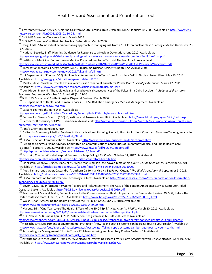$\overline{a}$ 96 Environment News Service. "Chlorine Gas from South Carolina Train Crash Kills Nine." January 10, 2005. Available at: [http://www.ens](http://www.ens-newswire.com/ens/jan2005/2005-01-10-04.html)[newswire.com/ens/jan2005/2005-01-10-04.html](http://www.ens-newswire.com/ens/jan2005/2005-01-10-04.html) DHS. NPS Scenario #7-Nerve Agent. March 2006. <sup>98</sup> DHS. NPS Scenario #1—10-kiloton Nuclear Detonation. March 2006. <sup>99</sup> Florig, Keith. "An individual decision-making approach to managing risk from a 10 kiloton nuclear blast." Carnegie Mellon University. 28 Feb. 2006. <sup>100</sup> National Security Staff. Planning Guidance for Response to a Nuclear Detonation. June 2010. Available at: <http://www.epa.gov/rpdweb00/docs/er/planning-guidance-for-response-to-nuclear-detonation-2-edition-final.pdf> 101 Institute of Medicine. Committee on Medical Preparedness for a Terrorist Nuclear Attack. Available at: <http://www.iom.edu/~/media/Files/Activity%20Files/PublicHealth/NucEventPrepWS/DALLASIOMNuclearWorkshop1.pdf><br><sup>102</sup> International Atomic Energy Agency (IAEA). Fukushima Nuclear Accident Update Log. Available at: <http://www.iaea.org/newscenter/news/2011/fukushimafull.html> <sup>103</sup> US Department of Energy (DOE). Radiological Assessment of effects from Fukushima Daiichi Nuclear Power Plant. May 13, 2011. Available at[: http://energy.gov/situation-japan-updated-12513](http://energy.gov/situation-japan-updated-12513) <sup>104</sup> Mirsky, Steve. "Nuclear Experts Explain Worst-Case Scenario at Fukushima Power Plant." *Scientific American*. March 12, 2011. Available at: <u>http://www.scientificamerican.com/article.cfm?id=fukushima-core</u> <sup>105</sup> Von Hippel, Frank N. "The radiological and psychological consequences of the Fukushima Daiichi accident." *Bulletin of the Atomic Scientists.* September/October 2011. vol. 67 (5). 27-36. <sup>106</sup>DHS. NPS. Scenario #11—Radiological Dispersal Devices. March 2006. <sup>107</sup> US Department of Health and Human Services (DHHS). Radiation Emergency Medical Management. Available at: <http://www.remm.nlm.gov/rdd.htm> 108 Lessons Learned the Hard Way. Available at: [http://www.iaea.org/Publications/Magazines/Bulletin/Bull472/htmls/lessons\\_learned.html](http://www.iaea.org/Publications/Magazines/Bulletin/Bull472/htmls/lessons_learned.html) 109 Centers for Disease Control (CDC). Questions and Answers About Ricin. Available at[: http://www.bt.cdc.gov/agent/ricin/facts.asp](http://www.bt.cdc.gov/agent/ricin/facts.asp) <sup>110</sup> Center for Biosecurity of UPMC. Ricin toxin. Available at[: http://www.upmc-biosecurity.org/website/our\\_work/biological-threats-and](http://www.upmc-biosecurity.org/website/our_work/biological-threats-and-epidemics/fact_sheets/ricin.html)[epidemics/fact\\_sheets/ricin.html](http://www.upmc-biosecurity.org/website/our_work/biological-threats-and-epidemics/fact_sheets/ricin.html)  111 Jane's Chem-Bio Handbook. Ricin. <sup>112</sup> California Emergency Medical Services Authority. National Planning Scenario Hospital Incident Command Structure Training. Available at: [http://www.emsa.ca.gov/HICS/files/Ext\\_08.pdf](http://www.emsa.ca.gov/HICS/files/Ext_08.pdf) 113 FEMA. Function: Communications. Available at[:http://www.fema.gov/business/guide/section2b.shtm](http://www.fema.gov/business/guide/section2b.shtm) <sup>114</sup> Report to Congress "Joint Advisory Committee on Communications Capabilities of Emergency Medical and Public Health Care Facilities" February 4, 2008. Available at: <http://www.ems.gov/pdf/FCC-JAC-Report.pdf> <sup>115</sup> [http://pdm.medicine.wisc.edu/Volume\\_18/issue\\_3/clem.pdf](http://pdm.medicine.wisc.edu/Volume_18/issue_3/clem.pdf) <sup>116</sup> Ornstein, Charles. Why do Hospital Generators Keep Failing? *ProPublica* October 31, 2012. Available at <http://www.propublica.org/article/why-do-hospitals-generators-keep-failing> <sup>117</sup> Blankstein, Andrew, Lifsher, Mark, *et al*. "More than 4 million lose power in major blackout." *Los Angeles Times*. September 8, 2011. Available at[: http://articles.latimes.com/2011/sep/08/local/la-me-power-outage-20110909](http://articles.latimes.com/2011/sep/08/local/la-me-power-outage-20110909) <sup>118</sup> Audi, Tamara and Sweet, Cassandra. "Southern California Hit by a Big Power Outage" *The Wall Street Journal.* September 9, 2011. Available at <u>http://online.wsj.com/article/SB10001424053111904836104576559322589333398.html</u> <sup>119</sup> FEMA. Preparation for Information Technology Failures. Available at[: http://fema.ideascale.com/a/dtd/Preparation-for-Information-](http://fema.ideascale.com/a/dtd/Preparation-for-Information-Technology-Failures/330828-14692)[Technology-Failures/330828-14692](http://fema.ideascale.com/a/dtd/Preparation-for-Information-Technology-Failures/330828-14692) <sup>120</sup> Beyon-Davis, PaulInformation Systems 'Failure'and Risk Assessment: The Case of the London Ambulance Service Computer Aided Despatch System. Available a[t http://60.88.dyn.lse.ac.uk/asp/aspecis/19950059.pdf](http://60.88.dyn.lse.ac.uk/asp/aspecis/19950059.pdf) <sup>121</sup> Testimony of Michael Taylor, Senior Advisor to the Commissioner on Health Impacts on the Deepwater Horizon Oil Spill, before the United States Sensate. June 15, 2010. Available at[: http://www.hhs.gov/asl/testify/2010/06/t20100615j.html](http://www.hhs.gov/asl/testify/2010/06/t20100615j.html)  <sup>122</sup> Walsh, Brian. "Assessing the Health Effects of the Oil Spill." *Time*. June 25, 2010. Available at: <http://www.time.com/time/health/article/0,8599,1999479,00.html> <sup>123</sup> Marcus, Erin. "One Year Later: The Health Effects of the BP Oil Spill." *New America Media.* March 20, 2011. Available at: <http://newamericamedia.org/2011/03/one-year-later-the-health-effects-of-the-bp-oil-spill.php>  $124$  NBC News U.S. Business April 3, 2011. Safety bonuses given despite Gulf Spill Deaths Available at [http://www.msnbc.msn.com/id/42393722/ns/business-us\\_business/t/transocean-gives-safety-bonuses-despite-gulf-spill-deaths/](http://www.msnbc.msn.com/id/42393722/ns/business-us_business/t/transocean-gives-safety-bonuses-despite-gulf-spill-deaths/) 125 Massachusetts Department of Environmental Protection "How Failing Septic Systems can be Hazardous to your Health" Available at <http://www.mass.gov/eea/agencies/massdep/water/wastewater/failing-septic-systems-can-be-hazardous-to-your-health.html> <sup>126</sup> Accounting for Management. "Just in Time (JIT) Manufacturing and Inventory Control Systems" Available at: [http://www.accounting4management.com/just\\_in\\_time.htm](http://www.accounting4management.com/just_in_time.htm)

127 Institute for Safe Medication Practices. "A Shortage of Everything Except Errors: Harm Associated with Drug Shortages" April 19, 2012. Available at[: http://www.ismp.org/newsletters/acutecare/showarticle.asp?id=20](http://www.ismp.org/newsletters/acutecare/showarticle.asp?id=20)